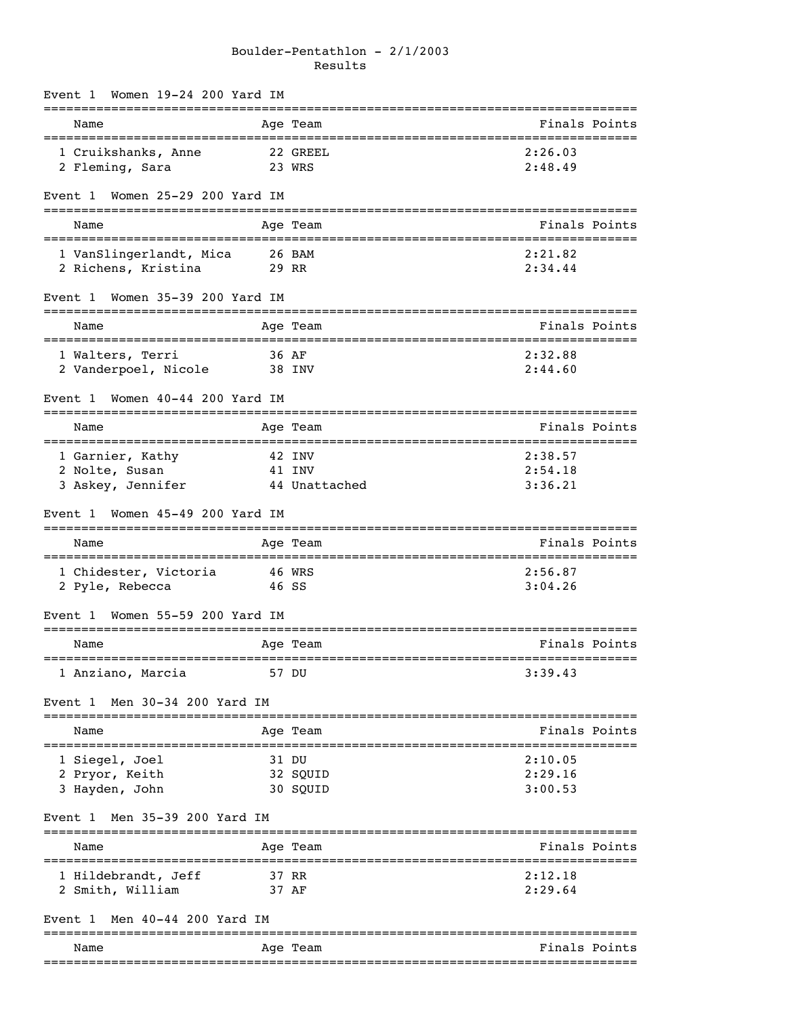# Boulder-Pentathlon - 2/1/2003 Results

| Event 1 |                                 |  | Women 19-24 200 Yard IM   |               |                                     |               |
|---------|---------------------------------|--|---------------------------|---------------|-------------------------------------|---------------|
| Name    | =============================== |  |                           | Age Team      |                                     | Finals Points |
|         | 1 Cruikshanks, Anne             |  |                           | 22 GREEL      | 2:26.03                             |               |
|         | 2 Fleming, Sara                 |  |                           | 23 WRS        | 2:48.49                             |               |
| Event 1 |                                 |  | Women 25-29 200 Yard IM   |               |                                     |               |
| Name    |                                 |  |                           | Age Team      |                                     | Finals Points |
|         | 1 VanSlingerlandt, Mica         |  |                           | 26 BAM        | 2:21.82                             |               |
|         | 2 Richens, Kristina             |  |                           | 29 RR         | 2:34.44                             |               |
| Event 1 |                                 |  | Women 35-39 200 Yard IM   |               |                                     |               |
| Name    |                                 |  |                           | Age Team      |                                     | Finals Points |
|         | 1 Walters, Terri                |  |                           | 36 AF         | 2:32.88                             |               |
|         | 2 Vanderpoel, Nicole            |  |                           | 38 INV        | 2:44.60                             |               |
| Event 1 |                                 |  | Women $40-44$ 200 Yard IM |               |                                     |               |
| Name    |                                 |  |                           | Age Team      |                                     | Finals Points |
|         | 1 Garnier, Kathy                |  |                           | 42 INV        | 2:38.57                             |               |
|         | 2 Nolte, Susan                  |  |                           | 41 INV        | 2:54.18                             |               |
|         | 3 Askey, Jennifer               |  |                           | 44 Unattached | 3:36.21                             |               |
| Event 1 |                                 |  | Women 45-49 200 Yard IM   |               |                                     |               |
| Name    |                                 |  |                           | Age Team      |                                     | Finals Points |
|         | 1 Chidester, Victoria           |  |                           | 46 WRS        | 2:56.87                             |               |
|         | 2 Pyle, Rebecca                 |  |                           | 46 SS         | 3:04.26                             |               |
| Event 1 |                                 |  | Women 55-59 200 Yard IM   |               | =================================== |               |
| Name    |                                 |  |                           | Age Team      |                                     | Finals Points |
|         | 1 Anziano, Marcia               |  |                           | 57 DU         | 3:39.43                             |               |
| Event 1 | Men 30-34 200 Yard IM           |  |                           |               |                                     |               |
| Name    |                                 |  |                           | Age Team      |                                     | Finals Points |
|         | 1 Siegel, Joel                  |  |                           | 31 DU         | 2:10.05                             |               |
|         | 2 Pryor, Keith                  |  |                           | 32 SQUID      | 2:29.16                             |               |
|         | 3 Hayden, John                  |  |                           | 30 SQUID      | 3:00.53                             |               |
| Event 1 | Men 35-39 200 Yard IM           |  |                           | =========     |                                     |               |
| Name    |                                 |  |                           | Age Team      |                                     | Finals Points |
|         | 1 Hildebrandt, Jeff             |  |                           | 37 RR         | 2:12.18                             |               |
|         | 2 Smith, William                |  |                           | 37 AF         | 2:29.64                             |               |
| Event 1 | Men 40-44 200 Yard IM           |  |                           |               |                                     |               |
| Name    |                                 |  |                           | Age Team      |                                     | Finals Points |
|         |                                 |  |                           |               |                                     |               |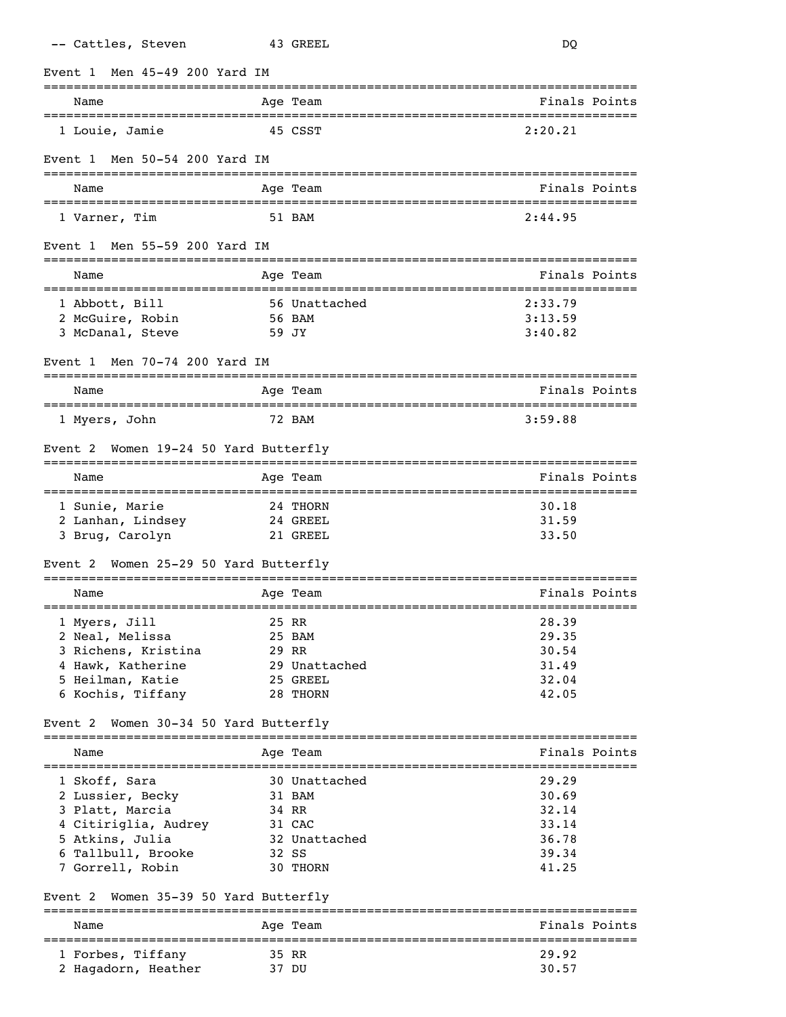|         | -- Cattles, Steven                                   |                                   | 43 GREEL |                                   | DQ                           |               |
|---------|------------------------------------------------------|-----------------------------------|----------|-----------------------------------|------------------------------|---------------|
| Event 1 |                                                      | Men 45-49 200 Yard IM             |          |                                   |                              |               |
|         | Name                                                 |                                   | Age Team |                                   |                              | Finals Points |
|         | ===============================<br>1 Louie, Jamie    |                                   | 45 CSST  | _________________________________ | 2:20.21                      |               |
| Event 1 |                                                      | Men 50-54 200 Yard IM             |          |                                   |                              |               |
|         | Name                                                 |                                   | Age Team |                                   |                              | Finals Points |
|         | 1 Varner, Tim                                        |                                   | 51 BAM   |                                   | 2:44.95                      |               |
| Event 1 |                                                      | Men 55-59 200 Yard IM             |          |                                   |                              |               |
|         | Name                                                 |                                   | Age Team |                                   |                              | Finals Points |
|         | 1 Abbott, Bill                                       |                                   |          | 56 Unattached                     | 2:33.79                      |               |
|         | 2 McGuire, Robin                                     |                                   | 56 BAM   |                                   | 3:13.59                      |               |
|         | 3 McDanal, Steve                                     |                                   | 59 JY    |                                   | 3:40.82                      |               |
| Event 1 |                                                      | Men 70-74 200 Yard IM             |          |                                   |                              |               |
|         | Name                                                 |                                   | Age Team |                                   |                              | Finals Points |
|         | 1 Myers, John                                        | ==================                | 72 BAM   |                                   | -----------------<br>3:59.88 |               |
| Event 2 |                                                      | Women 19-24 50 Yard Butterfly     |          |                                   |                              |               |
|         | Name                                                 |                                   | Age Team |                                   |                              | Finals Points |
|         | 1 Sunie, Marie                                       |                                   | 24 THORN |                                   | 30.18                        |               |
|         | 2 Lanhan, Lindsey                                    |                                   | 24 GREEL |                                   | 31.59                        |               |
|         | 3 Brug, Carolyn                                      |                                   | 21 GREEL |                                   | 33.50                        |               |
| Event 2 |                                                      | Women 25-29 50 Yard Butterfly     |          |                                   |                              |               |
|         | Name                                                 |                                   | Age Team |                                   |                              | Finals Points |
|         | 1 Myers, Jill                                        | ================================= | 25 RR    |                                   | 28.39                        |               |
|         | 2 Neal, Melissa                                      |                                   | 25 BAM   |                                   | 29.35                        |               |
|         | 3 Richens, Kristina                                  |                                   | 29 RR    |                                   | 30.54                        |               |
|         | 4 Hawk, Katherine                                    |                                   |          | 29 Unattached                     | 31.49                        |               |
|         | 5 Heilman, Katie                                     |                                   | 25 GREEL |                                   | 32.04                        |               |
|         | 6 Kochis, Tiffany                                    |                                   | 28 THORN |                                   | 42.05                        |               |
| Event 2 |                                                      | Women 30-34 50 Yard Butterfly     |          |                                   |                              |               |
|         | Name                                                 |                                   | Age Team |                                   |                              | Finals Points |
|         | 1 Skoff, Sara                                        |                                   |          | 30 Unattached                     | 29.29                        |               |
|         | 2 Lussier, Becky                                     |                                   | 31 BAM   |                                   | 30.69                        |               |
|         | 3 Platt, Marcia                                      |                                   | 34 RR    |                                   | 32.14                        |               |
|         | 4 Citiriglia, Audrey                                 |                                   | 31 CAC   |                                   | 33.14                        |               |
|         | 5 Atkins, Julia                                      |                                   |          | 32 Unattached                     | 36.78                        |               |
|         | 6 Tallbull, Brooke                                   |                                   | 32 SS    |                                   | 39.34                        |               |
|         | 7 Gorrell, Robin                                     |                                   | 30 THORN |                                   | 41.25                        |               |
| Event 2 |                                                      | Women 35-39 50 Yard Butterfly     |          |                                   |                              |               |
|         | Name                                                 |                                   | Age Team |                                   |                              | Finals Points |
|         | ===============================<br>1 Forbes, Tiffany |                                   | 35 RR    |                                   | 29.92                        |               |
|         | 2 Hagadorn, Heather                                  |                                   | 37 DU    |                                   | 30.57                        |               |
|         |                                                      |                                   |          |                                   |                              |               |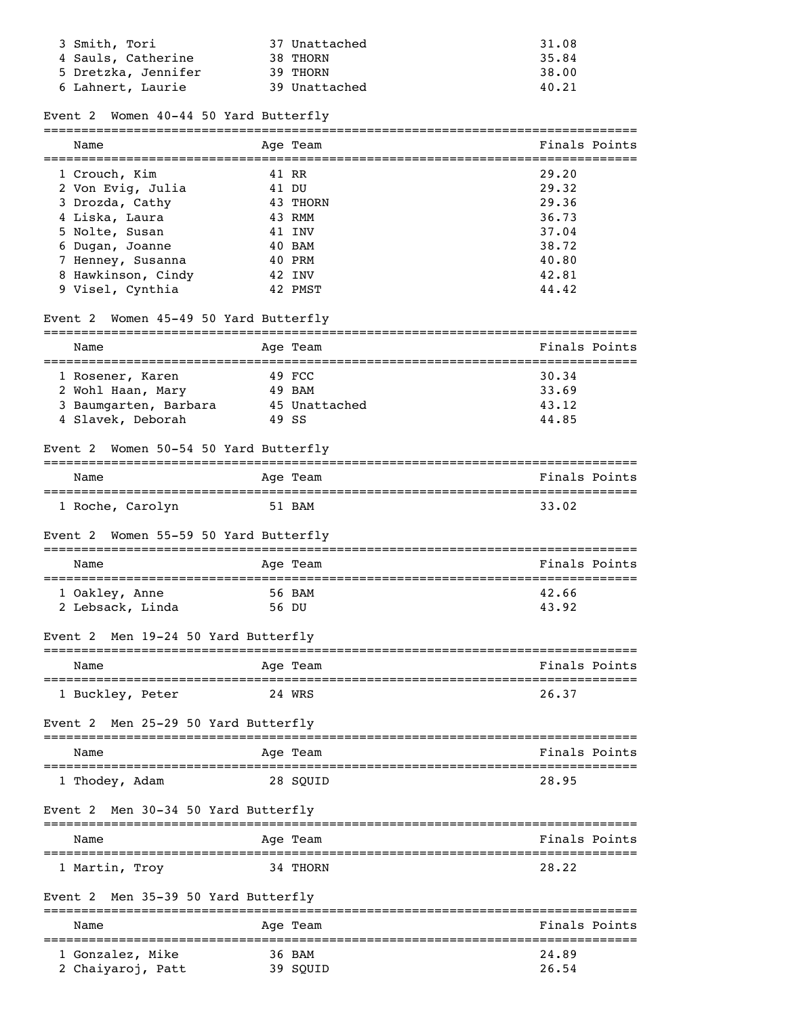| 3 Smith, Tori<br>4 Sauls, Catherine<br>5 Dretzka, Jennifer<br>6 Lahnert, Laurie | 37 Unattached<br>38 THORN<br>39 THORN<br>39 Unattached | 31.08<br>35.84<br>38.00<br>40.21 |
|---------------------------------------------------------------------------------|--------------------------------------------------------|----------------------------------|
| Women 40-44 50 Yard Butterfly<br>Event 2                                        |                                                        |                                  |
| Name                                                                            | Age Team                                               | Finals Points                    |
| 1 Crouch, Kim                                                                   | 41 RR                                                  | 29.20                            |
| 2 Von Evig, Julia                                                               | 41 DU                                                  | 29.32                            |
| 3 Drozda, Cathy                                                                 | 43 THORN                                               | 29.36                            |
| 4 Liska, Laura                                                                  | 43 RMM                                                 | 36.73                            |
| 5 Nolte, Susan                                                                  | 41 INV                                                 | 37.04                            |
| 6 Dugan, Joanne<br>7 Henney, Susanna                                            | 40 BAM<br>40 PRM                                       | 38.72<br>40.80                   |
| 8 Hawkinson, Cindy                                                              | 42 INV                                                 | 42.81                            |
| 9 Visel, Cynthia                                                                | 42 PMST                                                | 44.42                            |
| Women 45-49 50 Yard Butterfly<br>Event 2                                        |                                                        |                                  |
| Name                                                                            | Age Team                                               | Finals Points                    |
| 1 Rosener, Karen                                                                | 49 FCC                                                 | 30.34                            |
| 2 Wohl Haan, Mary                                                               | 49 BAM                                                 | 33.69                            |
| 3 Baumgarten, Barbara                                                           | 45 Unattached                                          | 43.12                            |
| 4 Slavek, Deborah                                                               | 49 SS                                                  | 44.85                            |
| Event 2 Women 50-54 50 Yard Butterfly                                           |                                                        |                                  |
| Name                                                                            | Age Team                                               | Finals Points                    |
| 1 Roche, Carolyn                                                                | 51 BAM                                                 | 33.02                            |
| Women 55-59 50 Yard Butterfly<br>Event 2                                        |                                                        |                                  |
| Name                                                                            | Age Team                                               | Finals Points                    |
| 1 Oakley, Anne                                                                  | 56 BAM                                                 | 42.66                            |
| 2 Lebsack, Linda                                                                | 56 DU                                                  | 43.92                            |
| Men 19-24 50 Yard Butterfly<br>Event 2                                          |                                                        |                                  |
| Name                                                                            | Age Team                                               | Finals Points                    |
| 1 Buckley, Peter                                                                | 24 WRS                                                 | 26.37                            |
| Men 25-29 50 Yard Butterfly<br>Event 2                                          |                                                        |                                  |
| Name                                                                            | Age Team                                               | Finals Points                    |
| 1 Thodey, Adam                                                                  | 28 SQUID                                               | 28.95                            |
| Event 2 Men 30-34 50 Yard Butterfly                                             |                                                        |                                  |
| Name                                                                            | Age Team                                               | Finals Points                    |
| 1 Martin, Troy                                                                  | 34 THORN                                               | 28.22                            |
| Men 35-39 50 Yard Butterfly<br>Event 2                                          |                                                        |                                  |

Name Age Team Age Team Finals Points ===============================================================================

 1 Gonzalez, Mike 36 BAM 24.89 2 Chaiyaroj, Patt 39 SQUID 26.54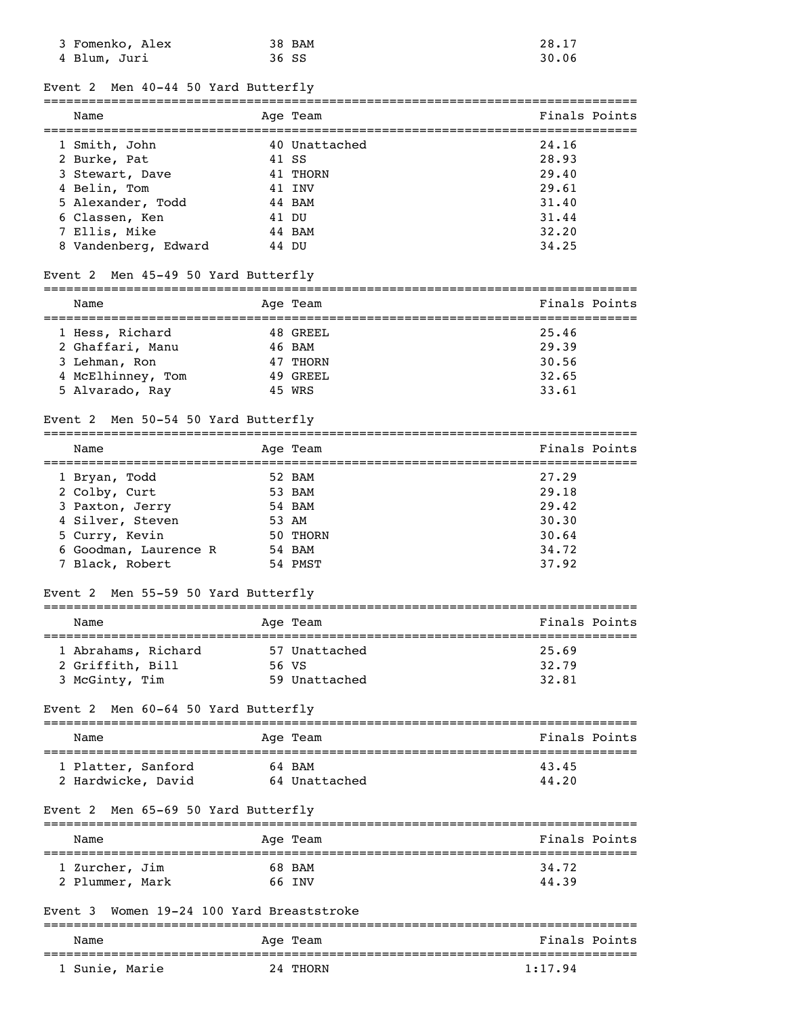| 3 Fomenko, Alex | 38 BAM | 28.17 |
|-----------------|--------|-------|
| 4 Blum, Juri    | 36 SS  | 30.06 |

### Event 2 Men 40-44 50 Yard Butterfly

| Name                 | Age Team      | Finals Points |
|----------------------|---------------|---------------|
| 1 Smith, John        | 40 Unattached | 24.16         |
| 2 Burke, Pat         | 41 SS         | 28.93         |
| 3 Stewart, Dave      | 41 THORN      | 29.40         |
| 4 Belin, Tom         | 41 TNV        | 29.61         |
| 5 Alexander, Todd    | 44 BAM        | 31.40         |
| 6 Classen, Ken       | 41 DU         | 31.44         |
| 7 Ellis, Mike        | 44 BAM        | 32.20         |
| 8 Vandenberg, Edward | 44 DU         | 34.25         |

# Event 2 Men 45-49 50 Yard Butterfly

|  | Name              |  | Age Team | Finals Points |
|--|-------------------|--|----------|---------------|
|  |                   |  |          |               |
|  | 1 Hess, Richard   |  | 48 GREEL | 25.46         |
|  | 2 Ghaffari, Manu  |  | 46 BAM   | 29.39         |
|  | 3 Lehman, Ron     |  | 47 THORN | 30.56         |
|  | 4 McElhinney, Tom |  | 49 GREEL | 32.65         |
|  | 5 Alvarado, Ray   |  | 45 WRS   | 33.61         |

### Event 2 Men 50-54 50 Yard Butterfly

| Name                  | Age Team | Finals Points |
|-----------------------|----------|---------------|
| 1 Bryan, Todd         | 52 BAM   | 27.29         |
| 2 Colby, Curt         | 53 BAM   | 29.18         |
| 3 Paxton, Jerry       | 54 BAM   | 29.42         |
| 4 Silver, Steven      | 53 AM    | 30.30         |
| 5 Curry, Kevin        | 50 THORN | 30.64         |
| 6 Goodman, Laurence R | 54 BAM   | 34.72         |
| 7 Black, Robert       | 54 PMST  | 37.92         |

# Event 2 Men 55-59 50 Yard Butterfly

| Name                                                      |  | Age Team                                | Finals Points           |  |  |
|-----------------------------------------------------------|--|-----------------------------------------|-------------------------|--|--|
| 1 Abrahams, Richard<br>2 Griffith, Bill<br>3 McGinty, Tim |  | 57 Unattached<br>56 VS<br>59 Unattached | 25.69<br>32.79<br>32.81 |  |  |

# Event 2 Men 60-64 50 Yard Butterfly

| Name               | Age Team      | Finals Points |  |  |  |
|--------------------|---------------|---------------|--|--|--|
|                    |               |               |  |  |  |
| 1 Platter, Sanford | 64 BAM        | 43.45         |  |  |  |
| 2 Hardwicke, David | 64 Unattached | 44.20         |  |  |  |

### Event 2 Men 65-69 50 Yard Butterfly

| Name            | Age Team | Finals Points |
|-----------------|----------|---------------|
| 1 Zurcher, Jim  | 68 BAM   | 34.72         |
| 2 Plummer, Mark | 66 TNV   | 44.39         |

# Event 3 Women 19-24 100 Yard Breaststroke

| Name           | Age Team | Finals Points |  |  |
|----------------|----------|---------------|--|--|
| 1 Sunie, Marie | 24 THORN | 1:17.94       |  |  |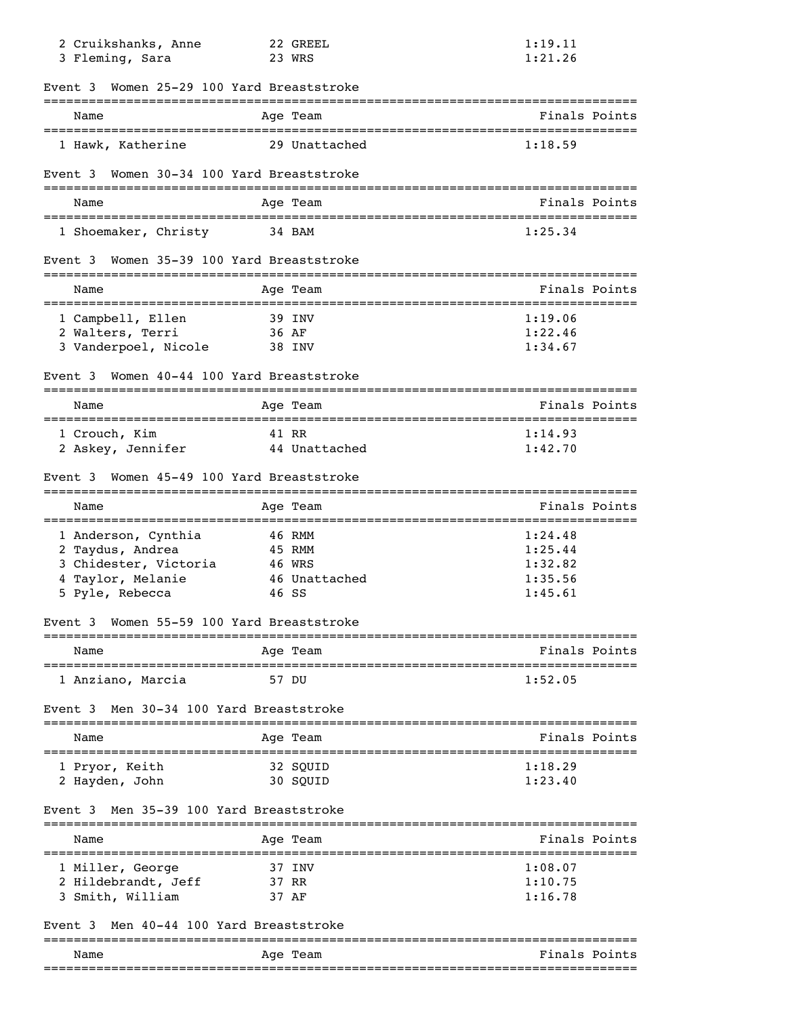| 2 Cruikshanks, Anne<br>3 Fleming, Sara         | 22 GREEL<br>23 WRS                | 1:19.11<br>1:21.26 |
|------------------------------------------------|-----------------------------------|--------------------|
| Event 3 Women 25-29 100 Yard Breaststroke      |                                   |                    |
| Name<br>====================================== | Age Team                          | Finals Points      |
| 1 Hawk, Katherine                              | 29 Unattached                     | 1:18.59            |
| Event 3 Women 30-34 100 Yard Breaststroke      |                                   |                    |
| Name                                           | Age Team                          | Finals Points      |
| 1 Shoemaker, Christy                           | 34 BAM                            | 1:25.34            |
| Event 3                                        | Women 35-39 100 Yard Breaststroke |                    |
| Name                                           | Age Team                          | Finals Points      |
| 1 Campbell, Ellen                              | 39 INV                            | 1:19.06            |
| 2 Walters, Terri                               | 36 AF                             | 1:22.46            |
| 3 Vanderpoel, Nicole                           | 38 INV                            | 1:34.67            |
| Event 3                                        | Women 40-44 100 Yard Breaststroke |                    |
| Name                                           | Age Team                          | Finals Points      |
| 1 Crouch, Kim                                  | 41 RR                             | 1:14.93            |
| 2 Askey, Jennifer                              | 44 Unattached                     | 1:42.70            |
| Event 3                                        | Women 45-49 100 Yard Breaststroke |                    |
| Name                                           | Age Team                          | Finals Points      |
| 1 Anderson, Cynthia                            | 46 RMM                            | 1:24.48            |
| 2 Taydus, Andrea                               | 45 RMM                            | 1:25.44            |
| 3 Chidester, Victoria                          | 46 WRS                            | 1:32.82            |
| 4 Taylor, Melanie                              | 46 Unattached                     | 1:35.56            |
| 5 Pyle, Rebecca                                | 46 SS                             | 1:45.61            |
| Event 3                                        | Women 55-59 100 Yard Breaststroke |                    |
| Name                                           | Age Team                          | Finals Points      |
| 1 Anziano, Marcia                              | 57 DU                             | 1:52.05            |
| Men 30-34 100 Yard Breaststroke<br>Event 3     |                                   |                    |
| Name                                           | Age Team<br>_______               | Finals Points      |
| 1 Pryor, Keith                                 | 32 SQUID                          | 1:18.29            |
| 2 Hayden, John                                 | 30 SQUID                          | 1:23.40            |
| Men 35-39 100 Yard Breaststroke<br>Event 3     |                                   |                    |
| Name                                           | Age Team                          | Finals Points      |
| 1 Miller, George                               | 37 INV                            | 1:08.07            |
| 2 Hildebrandt, Jeff                            | 37 RR                             | 1:10.75            |
| 3 Smith, William                               | 37 AF                             | 1:16.78            |
| Men 40-44 100 Yard Breaststroke<br>Event 3     | ============                      |                    |
| Name                                           | Age Team                          | Finals Points      |
|                                                |                                   |                    |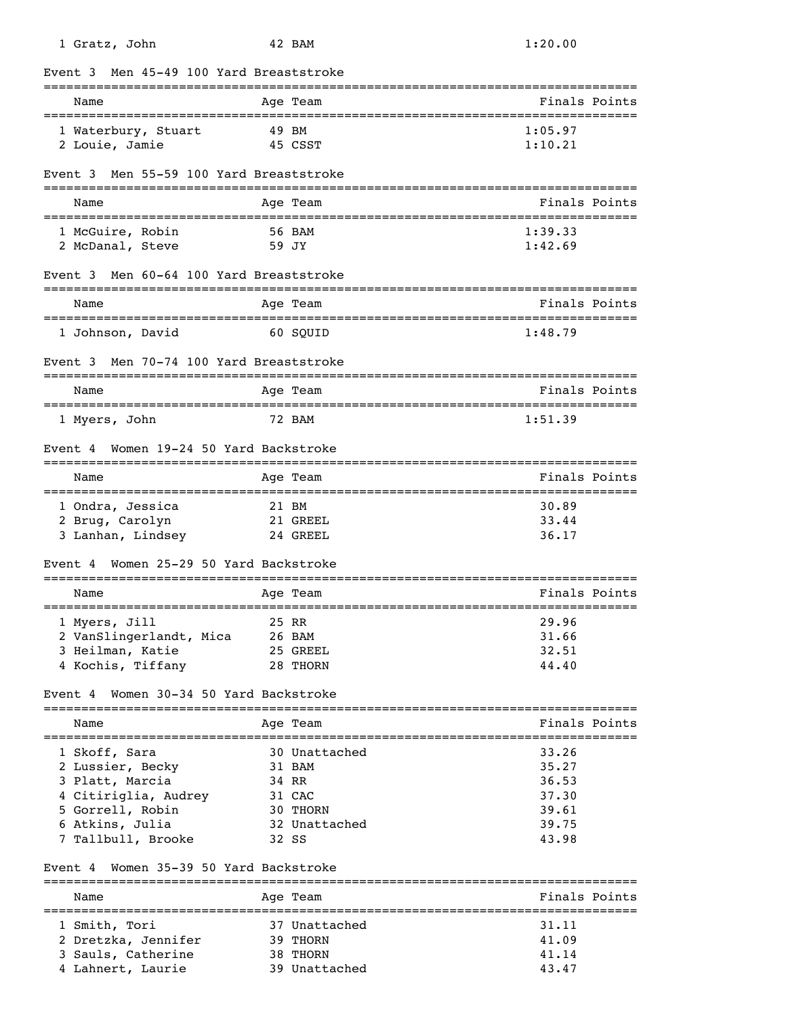| 1 Gratz, John                                | 42 BAM               | 1:20.00                            |
|----------------------------------------------|----------------------|------------------------------------|
| Men 45-49 100 Yard Breaststroke<br>Event 3   |                      |                                    |
| Name                                         | Age Team             | Finals Points                      |
| 1 Waterbury, Stuart                          | 49 BM                | 1:05.97                            |
| 2 Louie, Jamie                               | 45 CSST              | 1:10.21                            |
| Men 55-59 100 Yard Breaststroke<br>Event 3   |                      |                                    |
| Name                                         | Age Team             | Finals Points                      |
| 1 McGuire, Robin                             | 56 BAM               | 1:39.33                            |
| 2 McDanal, Steve                             | 59 JY                | 1:42.69                            |
| Men 60-64 100 Yard Breaststroke<br>Event 3   |                      |                                    |
| Name                                         | Age Team             | Finals Points                      |
| 1 Johnson, David                             | 60 SOUID             | 1:48.79                            |
| Event 3 Men 70-74 100 Yard Breaststroke      | ==================== |                                    |
| Name                                         | Age Team             | Finals Points<br>================= |
| 1 Myers, John                                | 72 BAM               | 1:51.39                            |
| Women 19-24 50 Yard Backstroke<br>Event 4    |                      |                                    |
| Name                                         | Age Team             | Finals Points                      |
| 1 Ondra, Jessica                             | 21 BM                | 30.89                              |
| 2 Brug, Carolyn                              | 21 GREEL             | 33.44                              |
| 3 Lanhan, Lindsey                            | 24 GREEL             | 36.17                              |
| Women 25-29 50 Yard Backstroke<br>Event 4    |                      |                                    |
| Name                                         | Age Team             | Finals Points                      |
| 1 Myers, Jill                                | 25 RR                | 29.96                              |
| 2 VanSlingerlandt, Mica                      | 26 BAM               | 31.66                              |
| 3 Heilman, Katie                             | 25 GREEL             | 32.51                              |
| 4 Kochis, Tiffany                            | 28 THORN             | 44.40                              |
| Women 30-34 50 Yard Backstroke<br>Event 4    |                      |                                    |
| Name<br>;=================================== | Age Team             | Finals Points                      |
| 1 Skoff, Sara                                | 30 Unattached        | 33.26                              |
| 2 Lussier, Becky                             | 31 BAM               | 35.27                              |
| 3 Platt, Marcia                              | 34 RR                | 36.53                              |
| 4 Citiriglia, Audrey                         | 31 CAC               | 37.30                              |
| 5 Gorrell, Robin                             | 30 THORN             | 39.61                              |
| 6 Atkins, Julia                              | 32 Unattached        | 39.75                              |
| 7 Tallbull, Brooke                           | 32 SS                | 43.98                              |
| Women 35-39 50 Yard Backstroke<br>Event 4    |                      |                                    |
| Name                                         | Age Team             | Finals Points                      |
| 1 Smith, Tori                                | 37 Unattached        | 31.11                              |
| 2 Dretzka, Jennifer                          | 39 THORN             | 41.09                              |
| 3 Sauls, Catherine                           | 38 THORN             | 41.14                              |
| 4 Lahnert, Laurie                            | 39 Unattached        | 43.47                              |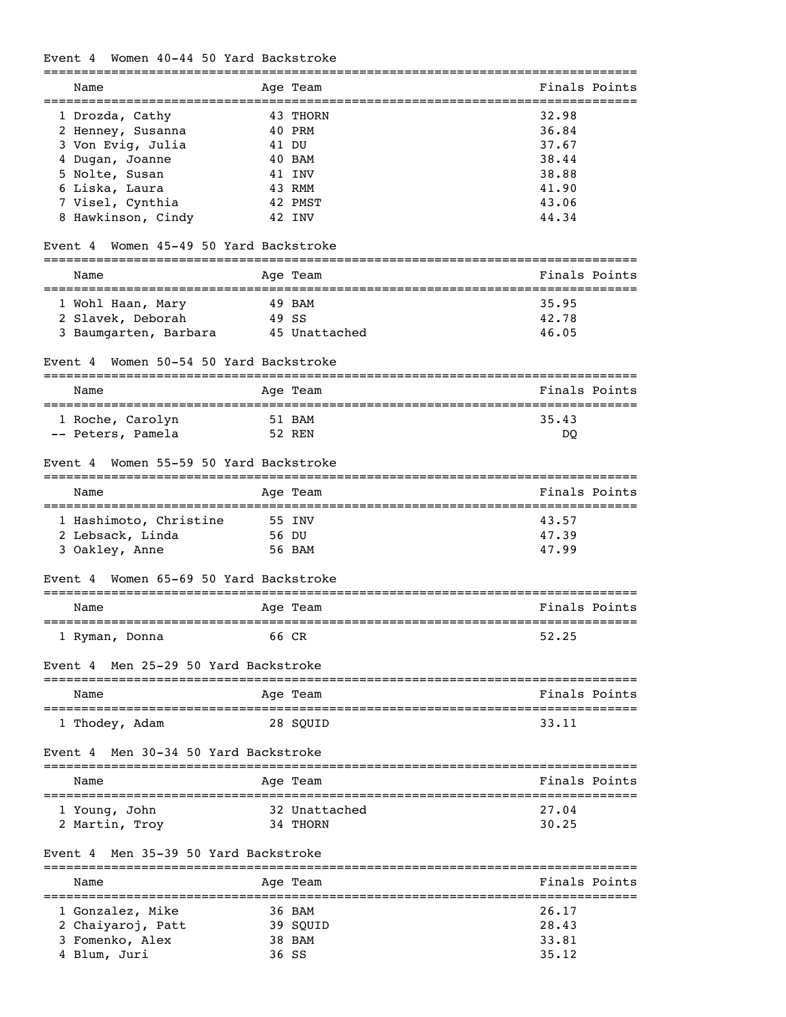# Event 4 Women 40-44 50 Yard Backstroke

| Name                                           | Age Team             | Finals Points                              |
|------------------------------------------------|----------------------|--------------------------------------------|
| 1 Drozda, Cathy                                | 43 THORN             | 32.98                                      |
| 2 Henney, Susanna                              | 40 PRM               | 36.84                                      |
| 3 Von Evig, Julia                              | 41 DU                | 37.67                                      |
| 4 Dugan, Joanne                                | 40 BAM               | 38.44                                      |
| 5 Nolte, Susan                                 | 41 INV               | 38.88                                      |
| 6 Liska, Laura                                 | 43 RMM               | 41.90                                      |
| 7 Visel, Cynthia                               | 42 PMST              | 43.06                                      |
| 8 Hawkinson, Cindy                             | 42 INV               | 44.34                                      |
| Women 45-49 50 Yard Backstroke<br>Event 4      |                      |                                            |
| Name                                           | Age Team             | Finals Points                              |
|                                                |                      |                                            |
| 1 Wohl Haan, Mary                              | 49 BAM               | 35.95                                      |
| 2 Slavek, Deborah                              | 49 SS                | 42.78                                      |
| 3 Baumgarten, Barbara                          | 45 Unattached        | 46.05                                      |
| Women 50-54 50 Yard Backstroke<br>Event 4      |                      |                                            |
| ______________________________________<br>Name | Age Team             | Finals Points                              |
| 1 Roche, Carolyn                               | 51 BAM               | =================================<br>35.43 |
| -- Peters, Pamela                              | 52 REN               | DQ                                         |
|                                                |                      |                                            |
| Women 55-59 50 Yard Backstroke<br>Event 4      |                      |                                            |
| Name                                           | Age Team             | Finals Points                              |
| 1 Hashimoto, Christine                         | 55 INV               | 43.57                                      |
| 2 Lebsack, Linda                               | 56 DU                | 47.39                                      |
| 3 Oakley, Anne                                 | 56 BAM               | 47.99                                      |
| Women 65-69 50 Yard Backstroke<br>Event 4      |                      |                                            |
|                                                |                      |                                            |
| Name                                           | Age Team<br>-------- | Finals Points<br>=============             |
| 1 Ryman, Donna                                 | 66 CR                | 52.25                                      |
| Men 25-29 50 Yard Backstroke<br>Event 4        |                      |                                            |
| Name<br>-----------                            | Age Team             | Finals Points                              |
| 1 Thodey, Adam                                 | 28 SQUID             | 33.11                                      |
| Men 30-34 50 Yard Backstroke<br>Event 4        |                      |                                            |
| Name                                           | Age Team             | Finals Points                              |
|                                                | 32 Unattached        | 27.04                                      |
| 1 Young, John                                  |                      |                                            |
| 2 Martin, Troy                                 | 34 THORN             | 30.25                                      |
| Men 35-39 50 Yard Backstroke<br>Event 4        |                      |                                            |
| Name                                           | Age Team             | Finals Points                              |
| 1 Gonzalez, Mike                               | 36 BAM               | 26.17                                      |
| 2 Chaiyaroj, Patt                              | 39 SQUID             | 28.43                                      |
| 3 Fomenko, Alex                                | 38 BAM               | 33.81                                      |
| 4 Blum, Juri                                   | 36 SS                | 35.12                                      |
|                                                |                      |                                            |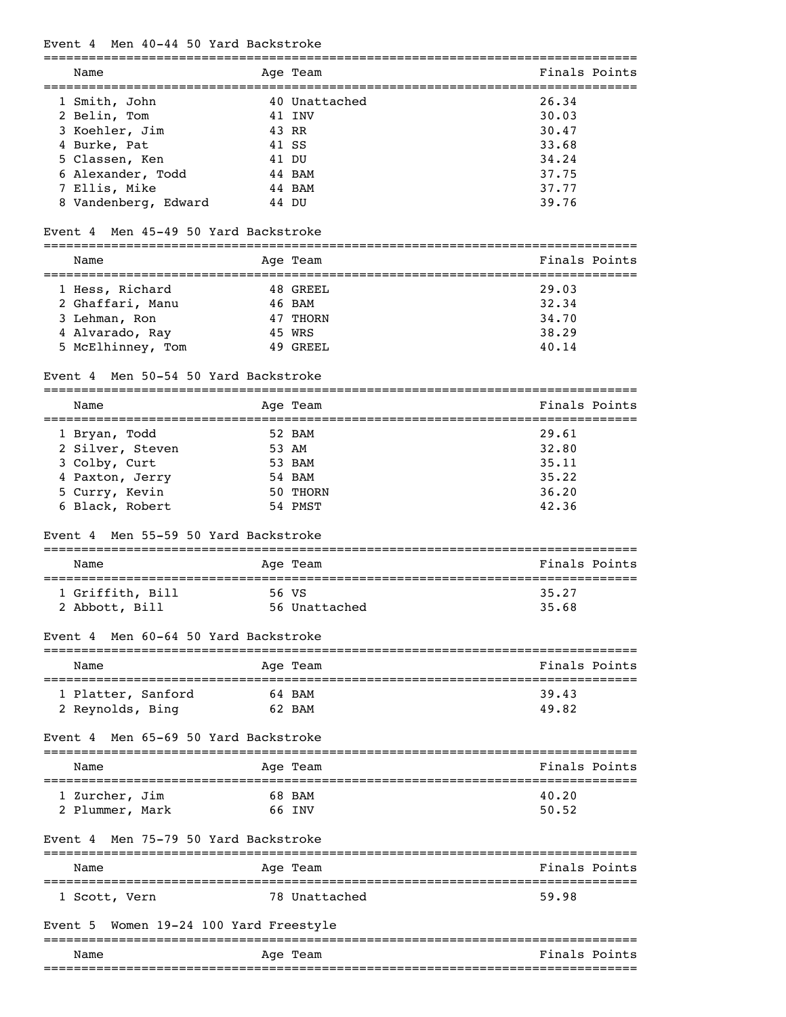#### Event 4 Men 40-44 50 Yard Backstroke

=============================================================================== Name Age Team Age Team Finals Points =============================================================================== 1 Smith, John 40 Unattached 26.34 2 Belin, Tom 41 INV 30.03<br>3 Koehler, Jim 43 RR 30.47 3 Koehler, Jim 43 RR 30.47 4 Burke, Pat 41 SS 33.68 5 Classen, Ken 41 DU 34.24 6 Alexander, Todd 44 BAM 37.75 7 Ellis, Mike 44 BAM 37.77 8 Vandenberg, Edward 44 DU 39.76

#### Event 4 Men 45-49 50 Yard Backstroke

| Name              | Age Team | Finals Points |
|-------------------|----------|---------------|
| 1 Hess, Richard   | 48 GREEL | 29.03         |
| 2 Ghaffari, Manu  | 46 BAM   | 32.34         |
| 3 Lehman, Ron     | 47 THORN | 34.70         |
| 4 Alvarado, Ray   | 45 WRS   | 38.29         |
| 5 McElhinney, Tom | 49 GREEL | 40.14         |

### Event 4 Men 50-54 50 Yard Backstroke

| Name             | Age Team | Finals Points |
|------------------|----------|---------------|
| 1 Bryan, Todd    | 52 BAM   | 29.61         |
| 2 Silver, Steven | 53 AM    | 32.80         |
| 3 Colby, Curt    | 53 BAM   | 35.11         |
| 4 Paxton, Jerry  | 54 BAM   | 35.22         |
| 5 Curry, Kevin   | 50 THORN | 36.20         |
| 6 Black, Robert  | 54 PMST  | 42.36         |

#### Event 4 Men 55-59 50 Yard Backstroke

| Name                               | Age Team               | Finals Points  |
|------------------------------------|------------------------|----------------|
| 1 Griffith, Bill<br>2 Abbott, Bill | 56 VS<br>56 Unattached | 35.27<br>35.68 |

#### Event 4 Men 60-64 50 Yard Backstroke

| Name               | Age Team | Finals Points |
|--------------------|----------|---------------|
| 1 Platter, Sanford | 64 BAM   | 39.43         |
| 2 Reynolds, Bing   | 62 BAM   | 49.82         |

# Event 4 Men 65-69 50 Yard Backstroke

| Name            | Age Team | Finals Points |
|-----------------|----------|---------------|
| 1 Zurcher, Jim  | 68 BAM   | 40.20         |
| 2 Plummer, Mark | 66 INV   | 50.52         |

### Event 4 Men 75-79 50 Yard Backstroke

| Name          | Age Team      | Finals Points |
|---------------|---------------|---------------|
| 1 Scott, Vern | 78 Unattached | 59.98         |

#### Event 5 Women 19-24 100 Yard Freestyle

|      |             | __________________________                   |
|------|-------------|----------------------------------------------|
| Name | Team<br>Age | Fina<br>Pointe<br>! s                        |
|      |             | _______________<br>_________________________ |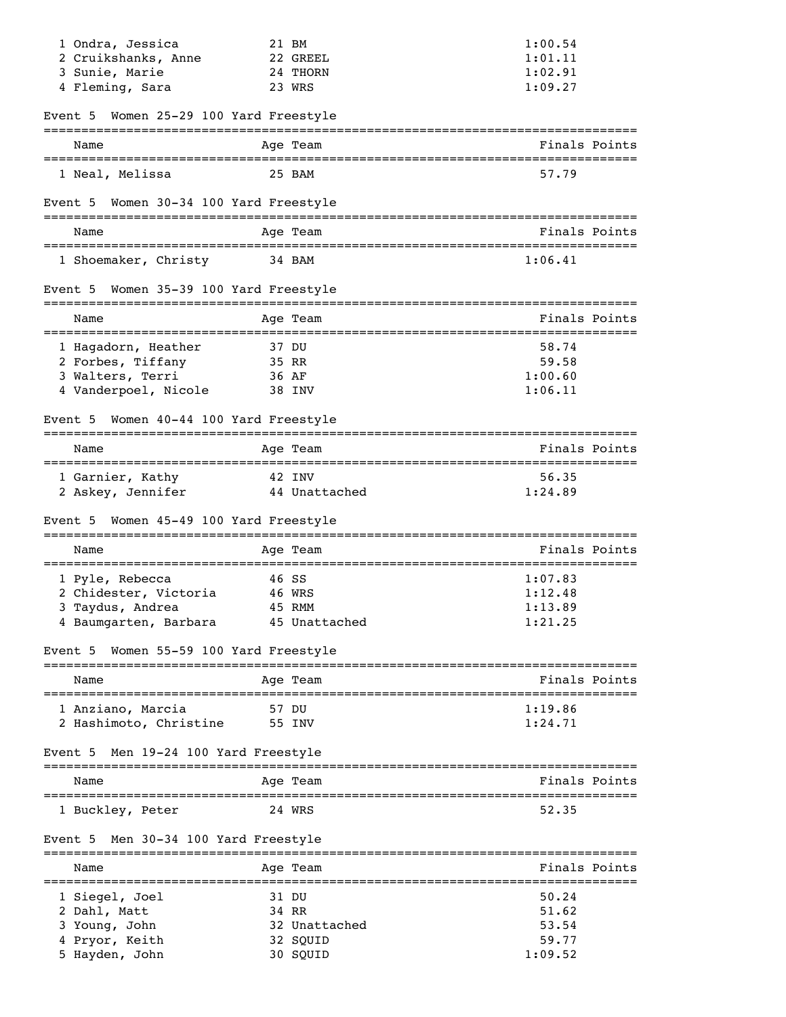| 1 Ondra, Jessica                          | 21 BM                                            | 1:00.54                                                |
|-------------------------------------------|--------------------------------------------------|--------------------------------------------------------|
| 2 Cruikshanks, Anne                       | 22 GREEL                                         | 1:01.11                                                |
| 3 Sunie, Marie                            | 24 THORN                                         | 1:02.91                                                |
| 4 Fleming, Sara                           | 23 WRS                                           | 1:09.27                                                |
| Event 5 Women 25-29 100 Yard Freestyle    |                                                  |                                                        |
| Name                                      | Age Team                                         | Finals Points                                          |
| 1 Neal, Melissa                           | 25 BAM                                           | 57.79                                                  |
| Event 5 Women 30-34 100 Yard Freestyle    |                                                  |                                                        |
| Name                                      | Age Team                                         | Finals Points                                          |
| 1 Shoemaker, Christy                      | 34 BAM                                           | 1:06.41                                                |
| Event 5 Women 35-39 100 Yard Freestyle    |                                                  |                                                        |
| Name                                      | Age Team                                         | Finals Points<br>------------------------------------- |
| 1 Hagadorn, Heather                       | 37 DU                                            | 58.74                                                  |
| 2 Forbes, Tiffany                         | 35 RR                                            | 59.58                                                  |
| 3 Walters, Terri                          | 36 AF                                            | 1:00.60                                                |
| 4 Vanderpoel, Nicole                      | 38 INV                                           | 1:06.11                                                |
| Women 40-44 100 Yard Freestyle<br>Event 5 |                                                  |                                                        |
| Name                                      | Age Team                                         | Finals Points                                          |
| 1 Garnier, Kathy                          | 42 INV                                           | 56.35                                                  |
| 2 Askey, Jennifer                         | 44 Unattached                                    | 1:24.89                                                |
| Event 5 Women 45-49 100 Yard Freestyle    |                                                  |                                                        |
| Name                                      | Age Team                                         | Finals Points                                          |
| 1 Pyle, Rebecca                           | 46 SS                                            | 1:07.83                                                |
| 2 Chidester, Victoria                     | 46 WRS                                           | 1:12.48                                                |
| 3 Taydus, Andrea                          | 45 RMM                                           | 1:13.89                                                |
| 4 Baumgarten, Barbara                     | 45 Unattached                                    | 1:21.25                                                |
| Event 5                                   | Women 55-59 100 Yard Freestyle                   |                                                        |
| Name<br>__________________________        | Age Team                                         | Finals Points                                          |
| 1 Anziano, Marcia                         | ============<br>57 DU                            | 1:19.86                                                |
| 2 Hashimoto, Christine                    | 55 INV                                           | 1:24.71                                                |
| Men 19-24 100 Yard Freestyle<br>Event 5   |                                                  |                                                        |
| Name                                      | Age Team                                         | Finals Points                                          |
| 1 Buckley, Peter                          | 24 WRS                                           | 52.35                                                  |
| Men 30-34 100 Yard Freestyle<br>Event 5   |                                                  |                                                        |
| Name                                      | ====================================<br>Age Team | Finals Points                                          |
| 1 Siegel, Joel                            | 31 DU                                            | 50.24                                                  |
| 2 Dahl, Matt                              | 34 RR                                            | 51.62                                                  |
| 3 Young, John                             | 32 Unattached                                    | 53.54                                                  |
| 4 Pryor, Keith                            | 32 SQUID                                         | 59.77                                                  |
| 5 Hayden, John                            | 30 SQUID                                         | 1:09.52                                                |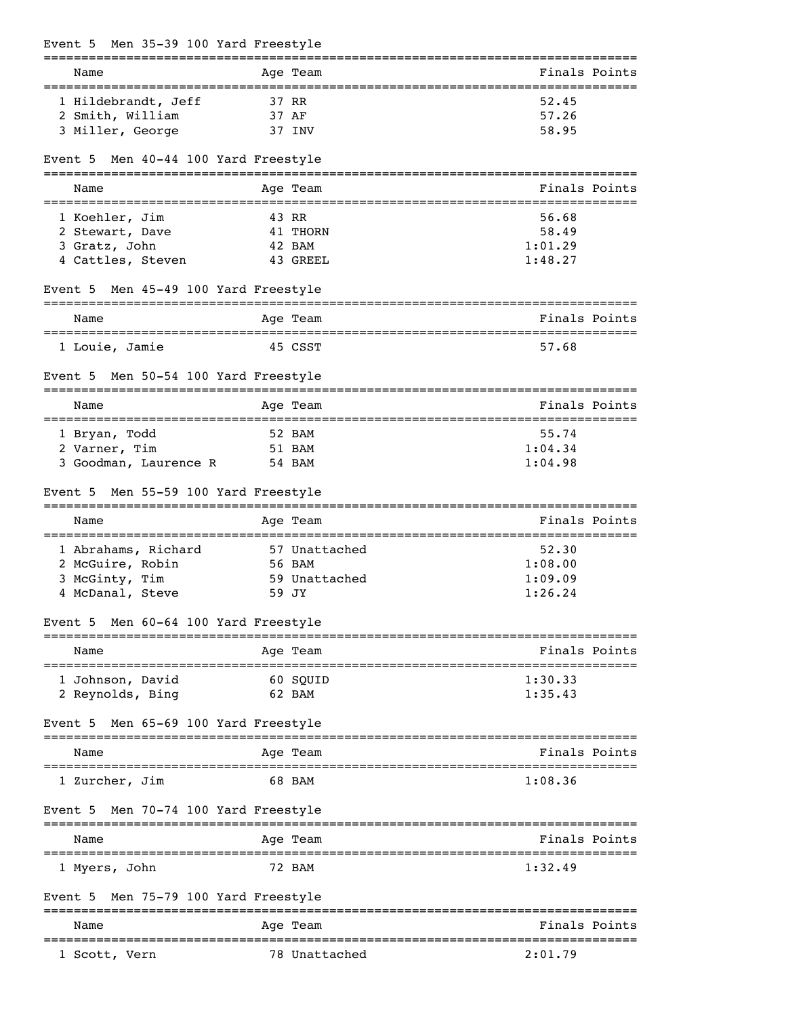|         |                | Event 5 Men 35-39 100 Yard Freestyle |  |             |               |                                  |  |
|---------|----------------|--------------------------------------|--|-------------|---------------|----------------------------------|--|
|         | Name           |                                      |  | =========== | Age Team      | Finals Points                    |  |
|         |                | 1 Hildebrandt, Jeff                  |  |             | 37 RR         | 52.45                            |  |
|         |                | 2 Smith, William                     |  |             | 37 AF         | 57.26                            |  |
|         |                | 3 Miller, George                     |  |             | 37 INV        | 58.95                            |  |
|         |                | Event 5 Men 40-44 100 Yard Freestyle |  |             |               |                                  |  |
|         | Name           |                                      |  |             | Aqe Team      | Finals Points                    |  |
|         | 1 Koehler, Jim |                                      |  |             | 43 RR         | 56.68                            |  |
|         |                | 2 Stewart, Dave                      |  |             | 41 THORN      | 58.49                            |  |
|         | 3 Gratz, John  |                                      |  |             | 42 BAM        | 1:01.29                          |  |
|         |                | 4 Cattles, Steven                    |  |             | 43 GREEL      | 1:48.27                          |  |
| Event 5 |                | Men 45-49 100 Yard Freestyle         |  |             |               |                                  |  |
|         | Name           | ---------------------                |  |             | Age Team      | Finals Points<br>.============== |  |
|         | 1 Louie, Jamie |                                      |  |             | 45 CSST       | 57.68                            |  |
|         |                | Event 5 Men 50-54 100 Yard Freestyle |  |             |               |                                  |  |
|         | Name           |                                      |  |             | Age Team      | Finals Points                    |  |
|         | 1 Bryan, Todd  |                                      |  |             | 52 BAM        | 55.74                            |  |
|         | 2 Varner, Tim  |                                      |  |             | 51 BAM        | 1:04.34                          |  |
|         |                | 3 Goodman, Laurence R                |  |             | 54 BAM        | 1:04.98                          |  |
| Event 5 |                | Men 55-59 100 Yard Freestyle         |  |             |               |                                  |  |
|         | Name           |                                      |  |             | Age Team      | Finals Points                    |  |
|         |                | 1 Abrahams, Richard                  |  |             | 57 Unattached | 52.30                            |  |
|         |                | 2 McGuire, Robin                     |  |             | 56 BAM        | 1:08.00                          |  |
|         | 3 McGinty, Tim |                                      |  |             | 59 Unattached | 1:09.09                          |  |
|         |                | 4 McDanal, Steve                     |  |             | 59 JY         | 1:26.24                          |  |
|         |                | Event 5 Men 60-64 100 Yard Freestyle |  |             | --------      |                                  |  |
|         | Name           |                                      |  |             | Age Team      | Finals Points                    |  |
|         |                | 1 Johnson, David                     |  |             | 60 SQUID      | 1:30.33                          |  |
|         |                | 2 Reynolds, Bing                     |  |             | 62 BAM        | 1:35.43                          |  |
| Event 5 |                | Men 65-69 100 Yard Freestyle         |  |             |               |                                  |  |
|         | Name           |                                      |  |             | Age Team      | Finals Points                    |  |
|         | 1 Zurcher, Jim |                                      |  |             | 68 BAM        | 1:08.36                          |  |
|         |                | Event 5 Men 70-74 100 Yard Freestyle |  |             |               |                                  |  |
|         | Name           |                                      |  |             | Age Team      | Finals Points                    |  |
|         | 1 Myers, John  |                                      |  |             | 72 BAM        | 1:32.49                          |  |
| Event 5 |                | Men 75-79 100 Yard Freestyle         |  |             |               |                                  |  |
|         | Name           |                                      |  |             | Age Team      | Finals Points                    |  |
|         | 1 Scott, Vern  |                                      |  |             | 78 Unattached | 2:01.79                          |  |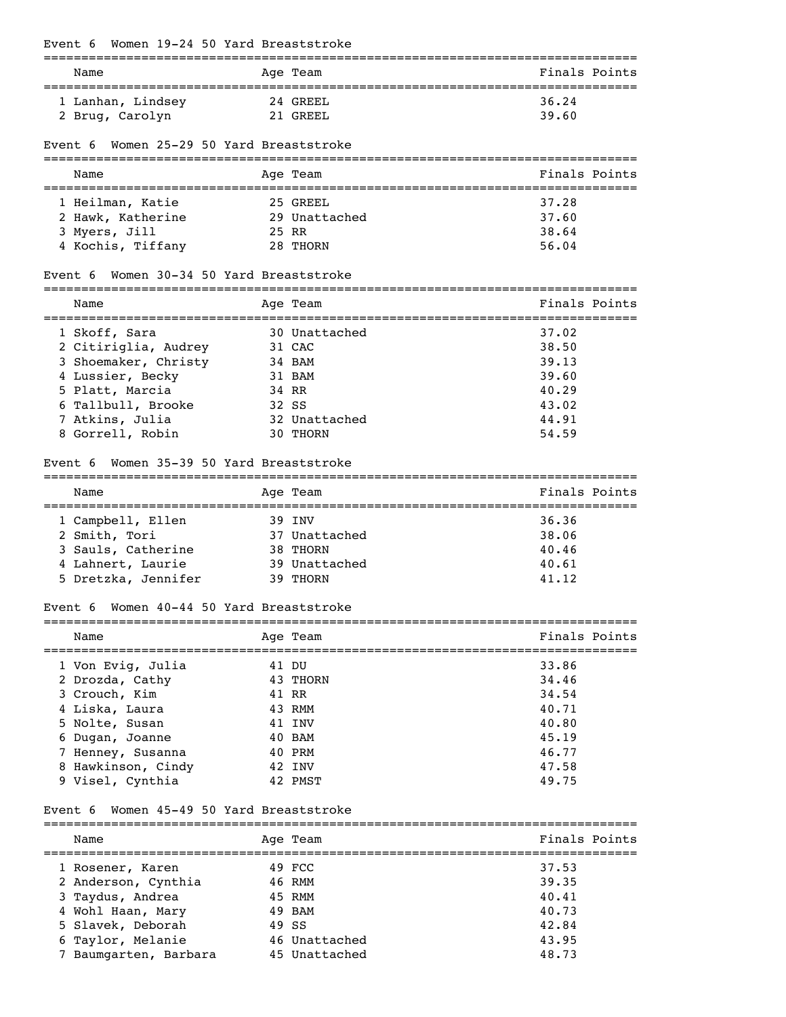### Event 6 Women 19-24 50 Yard Breaststroke

| Name              | Age Team   | Finals Points |
|-------------------|------------|---------------|
| 1 Lanhan, Lindsey | 24 GREEL   | 36.24         |
| 2 Brug, Carolyn   | $21$ GREEL | 39.60         |

### Event 6 Women 25-29 50 Yard Breaststroke

| Name              |  | Age Team      | Finals Points |  |  |  |
|-------------------|--|---------------|---------------|--|--|--|
|                   |  |               |               |  |  |  |
| 1 Heilman, Katie  |  | 25 GREEL      | 37.28         |  |  |  |
| 2 Hawk, Katherine |  | 29 Unattached | 37.60         |  |  |  |
| 3 Myers, Jill     |  | 25 RR         | 38.64         |  |  |  |
| 4 Kochis, Tiffany |  | 28 THORN      | 56.04         |  |  |  |

### Event 6 Women 30-34 50 Yard Breaststroke

| Name                 |       | Age Team      | Finals Points |
|----------------------|-------|---------------|---------------|
| 1 Skoff, Sara        |       | 30 Unattached | 37.02         |
| 2 Citiriglia, Audrey |       | 31 CAC        | 38.50         |
| 3 Shoemaker, Christy |       | 34 BAM        | 39.13         |
| 4 Lussier, Becky     |       | 31 BAM        | 39.60         |
| 5 Platt, Marcia      |       | 34 RR         | 40.29         |
| 6 Tallbull, Brooke   | 32 SS |               | 43.02         |
| 7 Atkins, Julia      |       | 32 Unattached | 44.91         |
| 8 Gorrell, Robin     |       | 30 THORN      | 54.59         |

#### Event 6 Women 35-39 50 Yard Breaststroke

| Name                | Age Team      | Finals Points |
|---------------------|---------------|---------------|
|                     |               |               |
| 1 Campbell, Ellen   | 39 TNV        | 36.36         |
| 2 Smith, Tori       | 37 Unattached | 38.06         |
| 3 Sauls, Catherine  | 38 THORN      | 40.46         |
| 4 Lahnert, Laurie   | 39 Unattached | 40.61         |
| 5 Dretzka, Jennifer | 39 THORN      | 41.12         |

### Event 6 Women 40-44 50 Yard Breaststroke

| Name               |  | Age Team | Finals Points |  |
|--------------------|--|----------|---------------|--|
| 1 Von Evig, Julia  |  | 41 DU    | 33.86         |  |
| 2 Drozda, Cathy    |  | 43 THORN | 34.46         |  |
| 3 Crouch, Kim      |  | 41 RR    | 34.54         |  |
| 4 Liska, Laura     |  | 43 RMM   | 40.71         |  |
| 5 Nolte, Susan     |  | 41 INV   | 40.80         |  |
| 6 Dugan, Joanne    |  | 40 BAM   | 45.19         |  |
| 7 Henney, Susanna  |  | 40 PRM   | 46.77         |  |
| 8 Hawkinson, Cindy |  | 42 INV   | 47.58         |  |
| 9 Visel, Cynthia   |  | 42 PMST  | 49.75         |  |

### Event 6 Women 45-49 50 Yard Breaststroke

| Name                  | Age Team      | Finals Points |
|-----------------------|---------------|---------------|
| 1 Rosener, Karen      | 49 FCC        | 37.53         |
| 2 Anderson, Cynthia   | 46 RMM        | 39.35         |
| 3 Taydus, Andrea      | 45 RMM        | 40.41         |
| 4 Wohl Haan, Mary     | 49 BAM        | 40.73         |
| 5 Slavek, Deborah     | 49 SS         | 42.84         |
| 6 Taylor, Melanie     | 46 Unattached | 43.95         |
| 7 Baumgarten, Barbara | 45 Unattached | 48.73         |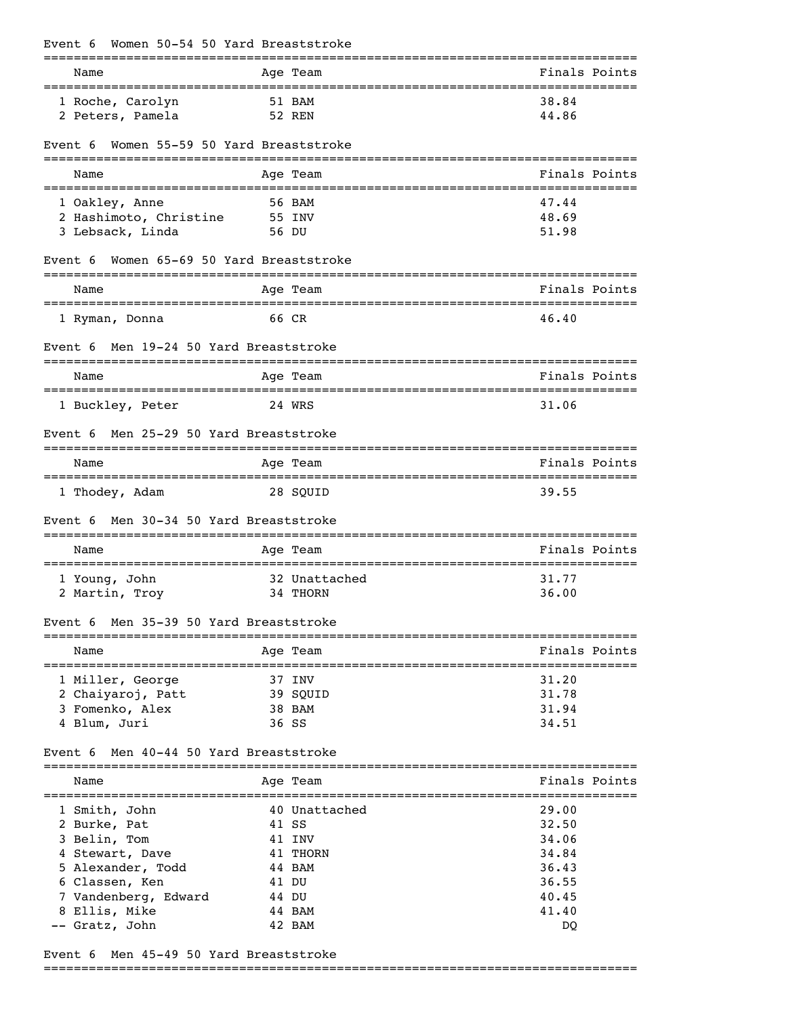| Women 50-54 50 Yard Breaststroke<br>Event 6 |                              |                                    |
|---------------------------------------------|------------------------------|------------------------------------|
| Name                                        | Age Team                     | Finals Points                      |
| 1 Roche, Carolyn                            | 51 BAM                       | 38.84                              |
| 2 Peters, Pamela                            | 52 REN                       | 44.86                              |
| Women 55-59 50 Yard Breaststroke<br>Event 6 |                              |                                    |
| Name                                        | Age Team                     | Finals Points                      |
| 1 Oakley, Anne                              | 56 BAM                       | 47.44                              |
| 2 Hashimoto, Christine                      | 55 INV                       | 48.69                              |
| 3 Lebsack, Linda                            | 56 DU                        | 51.98                              |
| Women 65-69 50 Yard Breaststroke<br>Event 6 |                              |                                    |
| Name                                        | Age Team                     | Finals Points                      |
| 1 Ryman, Donna                              | 66 CR                        | 46.40                              |
| Men 19-24 50 Yard Breaststroke<br>Event 6   | ===========                  |                                    |
| Name                                        | Age Team                     | Finals Points                      |
| 1 Buckley, Peter                            | 24 WRS                       | 31.06                              |
| Men 25-29 50 Yard Breaststroke<br>Event 6   |                              |                                    |
| Name                                        | Age Team                     | Finals Points                      |
| 1 Thodey, Adam                              | 28 SQUID                     | 39.55                              |
| Men 30-34 50 Yard Breaststroke<br>Event 6   |                              |                                    |
| Name                                        | Age Team                     | Finals Points                      |
| 1 Young, John                               | 32 Unattached                | 31.77                              |
| 2 Martin, Troy                              | 34 THORN                     | 36.00                              |
| Men 35-39 50 Yard Breaststroke<br>Event 6   |                              |                                    |
| ==================================<br>Name  | ----------------<br>Age Team | -----------------<br>Finals Points |
| 1 Miller, George                            | 37 INV                       | 31.20                              |
| 2 Chaiyaroj, Patt                           | 39 SQUID                     | 31.78                              |
| 3 Fomenko, Alex                             | 38 BAM<br>36 SS              | 31.94                              |
| 4 Blum, Juri                                |                              | 34.51                              |
| Men 40-44 50 Yard Breaststroke<br>Event 6   |                              |                                    |
| Name                                        | Age Team                     | Finals Points                      |
| 1 Smith, John                               | 40 Unattached                | 29.00                              |
| 2 Burke, Pat                                | 41 SS                        | 32.50                              |
| 3 Belin, Tom                                | 41 INV                       | 34.06                              |
| 4 Stewart, Dave                             | 41 THORN                     | 34.84                              |
| 5 Alexander, Todd<br>6 Classen, Ken         | 44 BAM<br>41 DU              | 36.43<br>36.55                     |
| 7 Vandenberg, Edward                        | 44 DU                        | 40.45                              |
| 8 Ellis, Mike                               | 44 BAM                       | 41.40                              |
| -- Gratz, John                              | 42 BAM                       | DQ                                 |

Event 6 Men 45-49 50 Yard Breaststroke

===============================================================================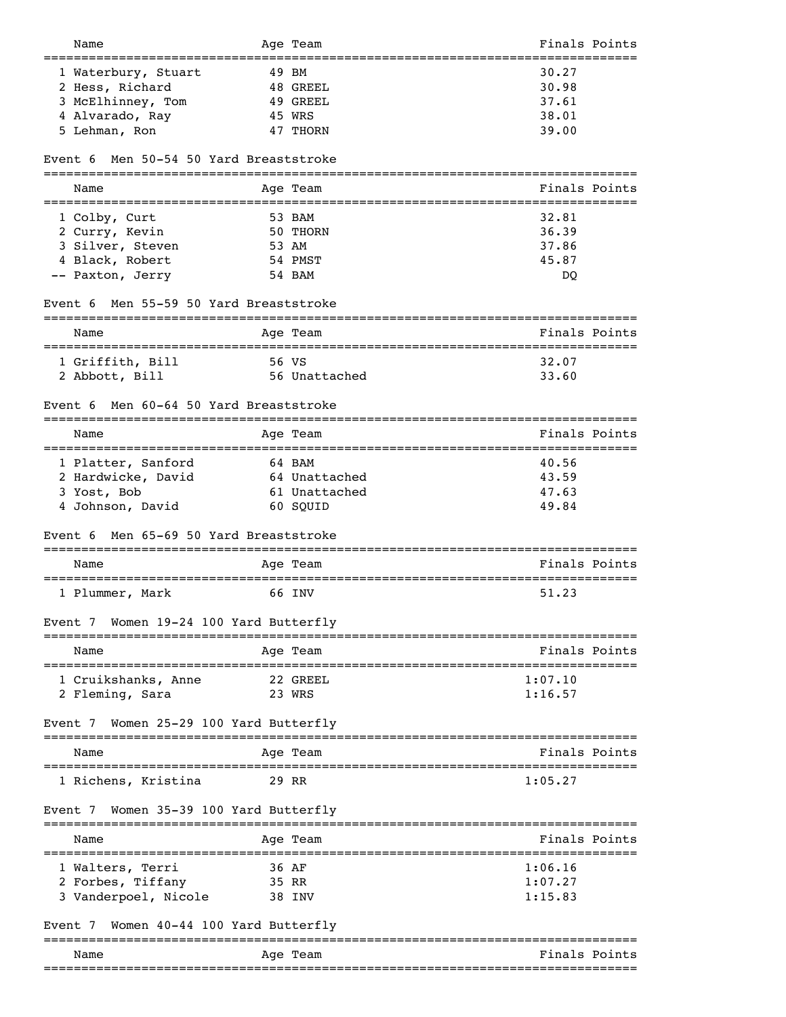| Name                                               | Age Team                    | Finals Points                                          |
|----------------------------------------------------|-----------------------------|--------------------------------------------------------|
| ===========================<br>1 Waterbury, Stuart | 49 BM                       | ============<br>30.27                                  |
| 2 Hess, Richard                                    | 48 GREEL                    | 30.98                                                  |
| 3 McElhinney, Tom                                  | 49 GREEL                    | 37.61                                                  |
| 4 Alvarado, Ray                                    | 45 WRS                      | 38.01                                                  |
| 5 Lehman, Ron                                      | 47 THORN                    | 39.00                                                  |
|                                                    |                             |                                                        |
| Men 50-54 50 Yard Breaststroke<br>Event 6          |                             |                                                        |
| Name                                               | Age Team                    | Finals Points<br>===================================== |
| 1 Colby, Curt                                      | 53 BAM                      | 32.81                                                  |
| 2 Curry, Kevin                                     | 50 THORN                    | 36.39                                                  |
| 3 Silver, Steven                                   | 53 AM                       | 37.86                                                  |
| 4 Black, Robert                                    | 54 PMST                     | 45.87                                                  |
| -- Paxton, Jerry                                   | 54 BAM                      | DQ                                                     |
| Men 55-59 50 Yard Breaststroke<br>Event 6          |                             |                                                        |
| =========<br>Name                                  | ===============<br>Age Team | Finals Points                                          |
| 1 Griffith, Bill                                   | =========<br>56 VS          | ========================<br>32.07                      |
| 2 Abbott, Bill                                     | 56 Unattached               | 33.60                                                  |
|                                                    |                             |                                                        |
| Men 60-64 50 Yard Breaststroke<br>Event 6          |                             |                                                        |
| Name                                               | Age Team                    | Finals Points<br>==================================    |
| 1 Platter, Sanford                                 | 64 BAM                      | 40.56                                                  |
| 2 Hardwicke, David                                 | 64 Unattached               | 43.59                                                  |
| 3 Yost, Bob                                        | 61 Unattached               | 47.63                                                  |
| 4 Johnson, David                                   | 60 SQUID                    | 49.84                                                  |
| Men 65-69 50 Yard Breaststroke<br>Event 6          |                             |                                                        |
| Name                                               | Age Team                    | Finals Points                                          |
| ======================================             |                             |                                                        |
| 1 Plummer, Mark                                    | 66 INV                      | 51.23                                                  |
| Event 7 Women 19-24 100 Yard Butterfly             |                             |                                                        |
| Name                                               | Age Team                    | Finals Points                                          |
| 1 Cruikshanks, Anne                                | 22 GREEL                    | 1:07.10                                                |
| 2 Fleming, Sara                                    | 23 WRS                      | 1:16.57                                                |
| Women 25-29 100 Yard Butterfly<br>Event 7          |                             |                                                        |
| Name                                               | Age Team                    | Finals Points                                          |
| 1 Richens, Kristina                                | 29 RR                       | 1:05.27                                                |
| Women 35-39 100 Yard Butterfly<br>Event 7          |                             |                                                        |
|                                                    |                             |                                                        |
| Name                                               | Age Team                    | Finals Points                                          |
| 1 Walters, Terri                                   | 36 AF                       | 1:06.16                                                |
| 2 Forbes, Tiffany                                  | 35 RR                       | 1:07.27                                                |
| 3 Vanderpoel, Nicole                               | 38 INV                      | 1:15.83                                                |
| Women 40-44 100 Yard Butterfly<br>Event 7          |                             |                                                        |
| Name                                               | ===========<br>Age Team     | Finals Points                                          |
|                                                    |                             |                                                        |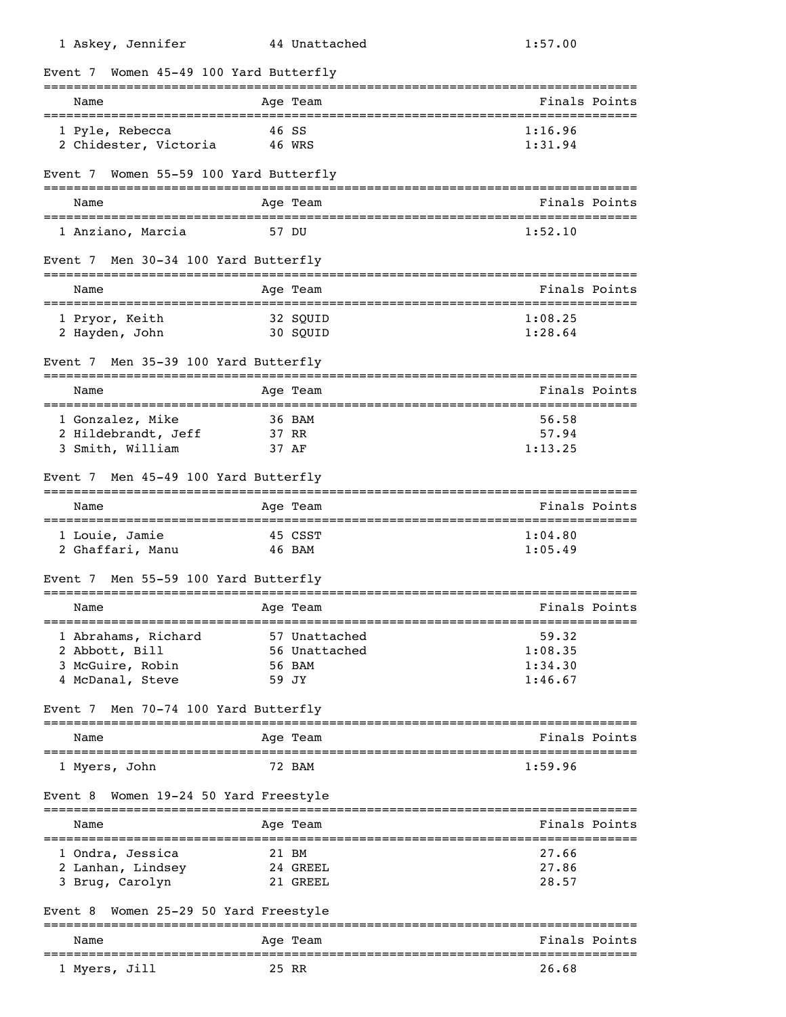| 1 Askey, Jennifer                         | 44 Unattached | 1:57.00                        |
|-------------------------------------------|---------------|--------------------------------|
| Women 45-49 100 Yard Butterfly<br>Event 7 |               |                                |
| Name                                      | Age Team      | Finals Points                  |
| 1 Pyle, Rebecca                           | 46 SS         | 1:16.96                        |
| 2 Chidester, Victoria                     | 46 WRS        | 1:31.94                        |
| Event 7 Women 55-59 100 Yard Butterfly    |               |                                |
| Name                                      | Aqe Team      | Finals Points                  |
| 1 Anziano, Marcia                         | 57 DU         | 1:52.10                        |
| Event 7 Men 30-34 100 Yard Butterfly      |               |                                |
| Name                                      | Age Team      | Finals Points                  |
| 1 Pryor, Keith                            | 32 SOUID      | 1:08.25                        |
| 2 Hayden, John                            | 30 SQUID      | 1:28.64                        |
| Men 35-39 100 Yard Butterfly<br>Event 7   |               |                                |
| Name                                      | Age Team      | Finals Points                  |
| 1 Gonzalez, Mike                          | 36 BAM        | 56.58                          |
| 2 Hildebrandt, Jeff                       | 37 RR         | 57.94                          |
| 3 Smith, William                          | 37 AF         | 1:13.25                        |
| Men 45-49 100 Yard Butterfly<br>Event 7   |               |                                |
| Name                                      | Age Team      | Finals Points                  |
| 1 Louie, Jamie                            | 45 CSST       | 1:04.80                        |
| 2 Ghaffari, Manu                          | 46 BAM        | 1:05.49                        |
| Men 55-59 100 Yard Butterfly<br>Event 7   |               |                                |
| Name                                      | Age Team      | Finals Points                  |
| 1 Abrahams, Richard                       | 57 Unattached | 59.32                          |
| 2 Abbott, Bill                            | 56 Unattached | 1:08.35                        |
| 3 McGuire, Robin                          | 56 BAM        | 1:34.30                        |
| 4 McDanal, Steve                          | 59 JY         | 1:46.67                        |
| Men 70-74 100 Yard Butterfly<br>Event 7   |               |                                |
| Name                                      | Age Team      | Finals Points                  |
| 1 Myers, John                             | <b>72 BAM</b> | 1:59.96                        |
| Women 19-24 50 Yard Freestyle<br>Event 8  |               |                                |
| Name                                      | Age Team      | Finals Points                  |
| 1 Ondra, Jessica                          | 21 BM         | 27.66                          |
| 2 Lanhan, Lindsey                         | 24 GREEL      | 27.86                          |
| 3 Brug, Carolyn                           | 21 GREEL      | 28.57                          |
| Women 25-29 50 Yard Freestyle<br>Event 8  |               |                                |
| Name                                      | Age Team      | Finals Points<br>============= |
| 1 Myers, Jill                             | 25 RR         | 26.68                          |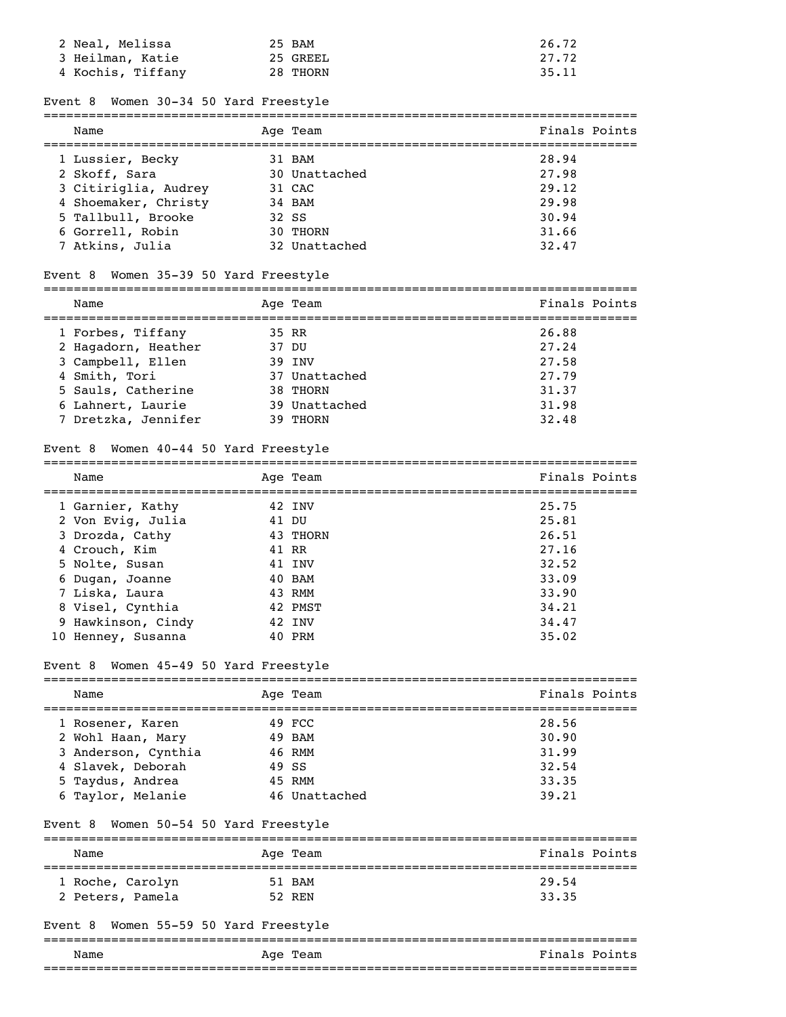| 2 Neal, Melissa   | 25 BAM   | 26.72 |
|-------------------|----------|-------|
| 3 Heilman, Katie  | 25 GREEL | 27.72 |
| 4 Kochis, Tiffany | 28 THORN | 35.11 |

#### Event 8 Women 30-34 50 Yard Freestyle

#### =============================================================================== Name Age Team Age Team Finals Points

| <u>ivanc</u>         | Ayc ream      | f filata futilla |
|----------------------|---------------|------------------|
| 1 Lussier, Becky     | 31 BAM        | 28.94            |
| 2 Skoff, Sara        | 30 Unattached | 27.98            |
| 3 Citiriglia, Audrey | 31 CAC        | 29.12            |
| 4 Shoemaker, Christy | 34 BAM        | 29.98            |
| 5 Tallbull, Brooke   | 32 SS         | 30.94            |
| 6 Gorrell, Robin     | 30 THORN      | 31.66            |
| 7 Atkins, Julia      | 32 Unattached | 32.47            |
|                      |               |                  |

# Event 8 Women 35-39 50 Yard Freestyle

| Name                | Age Team      | Finals Points |
|---------------------|---------------|---------------|
| 1 Forbes, Tiffany   | 35 RR         | 26.88         |
| 2 Hagadorn, Heather | 37 DU         | 27.24         |
| 3 Campbell, Ellen   | 39 TNV        | 27.58         |
| 4 Smith, Tori       | 37 Unattached | 27.79         |
| 5 Sauls, Catherine  | 38 THORN      | 31.37         |
| 6 Lahnert, Laurie   | 39 Unattached | 31.98         |
| 7 Dretzka, Jennifer | THORN         | 32.48         |

### Event 8 Women 40-44 50 Yard Freestyle

| Name               | Age Team | Finals Points |
|--------------------|----------|---------------|
| 1 Garnier, Kathy   | 42 INV   | 25.75         |
| 2 Von Evig, Julia  | 41 DU    | 25.81         |
| 3 Drozda, Cathy    | 43 THORN | 26.51         |
| 4 Crouch, Kim      | 41 RR    | 27.16         |
| 5 Nolte, Susan     | 41 INV   | 32.52         |
| 6 Dugan, Joanne    | 40 BAM   | 33.09         |
| 7 Liska, Laura     | 43 RMM   | 33.90         |
| 8 Visel, Cynthia   | 42 PMST  | 34.21         |
| 9 Hawkinson, Cindy | 42 INV   | 34.47         |
| 10 Henney, Susanna | 40 PRM   | 35.02         |

===============================================================================

# Event 8 Women 45-49 50 Yard Freestyle

| Name                | Age Team      | Finals Points |
|---------------------|---------------|---------------|
| 1 Rosener, Karen    | 49 FCC        | 28.56         |
| 2 Wohl Haan, Mary   | 49 BAM        | 30.90         |
| 3 Anderson, Cynthia | 46 RMM        | 31.99         |
| 4 Slavek, Deborah   | 49 SS         | 32.54         |
| 5 Taydus, Andrea    | 45 RMM        | 33.35         |
| 6 Taylor, Melanie   | 46 Unattached | 39.21         |

## Event 8 Women 50-54 50 Yard Freestyle

| Name             | Age Team | Finals Points |
|------------------|----------|---------------|
| 1 Roche, Carolyn | 51 BAM   | 29.54         |
| 2 Peters, Pamela | 52 REN   | 33.35         |

## Event 8 Women 55-59 50 Yard Freestyle

| Name | Team<br>Age | Fina.<br>Points<br>!s.                                        |  |  |  |
|------|-------------|---------------------------------------------------------------|--|--|--|
|      |             | __________________________<br>_______________________________ |  |  |  |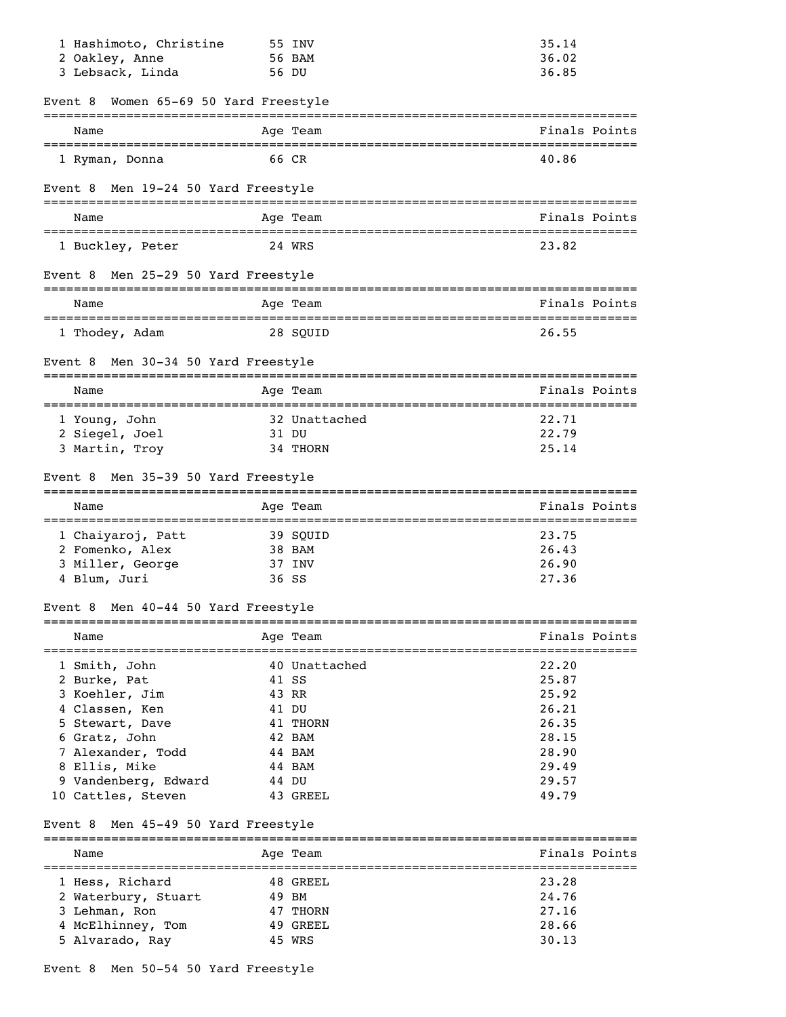| 1 Hashimoto, Christine                              |       | 55 INV                                           | 35.14         |
|-----------------------------------------------------|-------|--------------------------------------------------|---------------|
| 2 Oakley, Anne                                      |       | 56 BAM                                           | 36.02         |
| 3 Lebsack, Linda                                    | 56 DU |                                                  | 36.85         |
| Women 65-69 50 Yard Freestyle<br>Event 8            |       |                                                  |               |
| Name                                                |       | Age Team                                         | Finals Points |
| 1 Ryman, Donna                                      | 66 CR |                                                  | 40.86         |
| Men 19-24 50 Yard Freestyle<br>Event 8              |       |                                                  |               |
| Name                                                |       | Age Team                                         | Finals Points |
| 1 Buckley, Peter                                    |       | 24 WRS                                           | 23.82         |
| Men 25-29 50 Yard Freestyle<br>Event 8              |       |                                                  |               |
| Name                                                |       | Age Team                                         | Finals Points |
| 1 Thodey, Adam                                      |       | 28 SOUID                                         | 26.55         |
| Men 30-34 50 Yard Freestyle<br>Event 8              |       |                                                  |               |
| Name                                                |       | Age Team                                         | Finals Points |
| 1 Young, John                                       |       | 32 Unattached                                    | 22.71         |
| 2 Siegel, Joel                                      | 31 DU |                                                  | 22.79         |
| 3 Martin, Troy                                      |       | 34 THORN                                         | 25.14         |
| Men 35-39 50 Yard Freestyle<br>Event 8              |       |                                                  |               |
| Name                                                |       | Age Team                                         | Finals Points |
| 1 Chaiyaroj, Patt                                   |       | 39 SQUID                                         | 23.75         |
| 2 Fomenko, Alex                                     |       | 38 BAM                                           | 26.43         |
| 3 Miller, George                                    |       | 37 INV                                           | 26.90         |
| 4 Blum, Juri                                        | 36 SS |                                                  | 27.36         |
| Men 40-44 50 Yard Freestyle<br>Event 8              |       |                                                  |               |
| Name                                                |       | Age Team<br>____________________________________ | Finals Points |
| -=================================<br>1 Smith, John |       | 40 Unattached                                    | 22.20         |
| 2 Burke, Pat                                        | 41 SS |                                                  | 25.87         |
| 3 Koehler, Jim                                      | 43 RR |                                                  | 25.92         |
| 4 Classen, Ken                                      | 41 DU |                                                  | 26.21         |
| 5 Stewart, Dave                                     |       | 41 THORN                                         | 26.35         |
| 6 Gratz, John                                       |       | 42 BAM                                           | 28.15         |
| 7 Alexander, Todd                                   |       | 44 BAM                                           | 28.90         |
| 8 Ellis, Mike                                       |       | 44 BAM                                           | 29.49         |
| 9 Vandenberg, Edward                                | 44 DU |                                                  | 29.57         |
| 10 Cattles, Steven                                  |       | 43 GREEL                                         | 49.79         |
| Men 45-49 50 Yard Freestyle<br>Event 8              |       |                                                  |               |
| Name<br>=============================               |       | Age Team                                         | Finals Points |
| 1 Hess, Richard                                     |       | 48 GREEL                                         | 23.28         |
| 2 Waterbury, Stuart                                 | 49 BM |                                                  | 24.76         |
| 3 Lehman, Ron                                       |       | 47 THORN                                         | 27.16         |
| 4 McElhinney, Tom                                   |       | 49 GREEL                                         | 28.66         |
| 5 Alvarado, Ray                                     |       | 45 WRS                                           | 30.13         |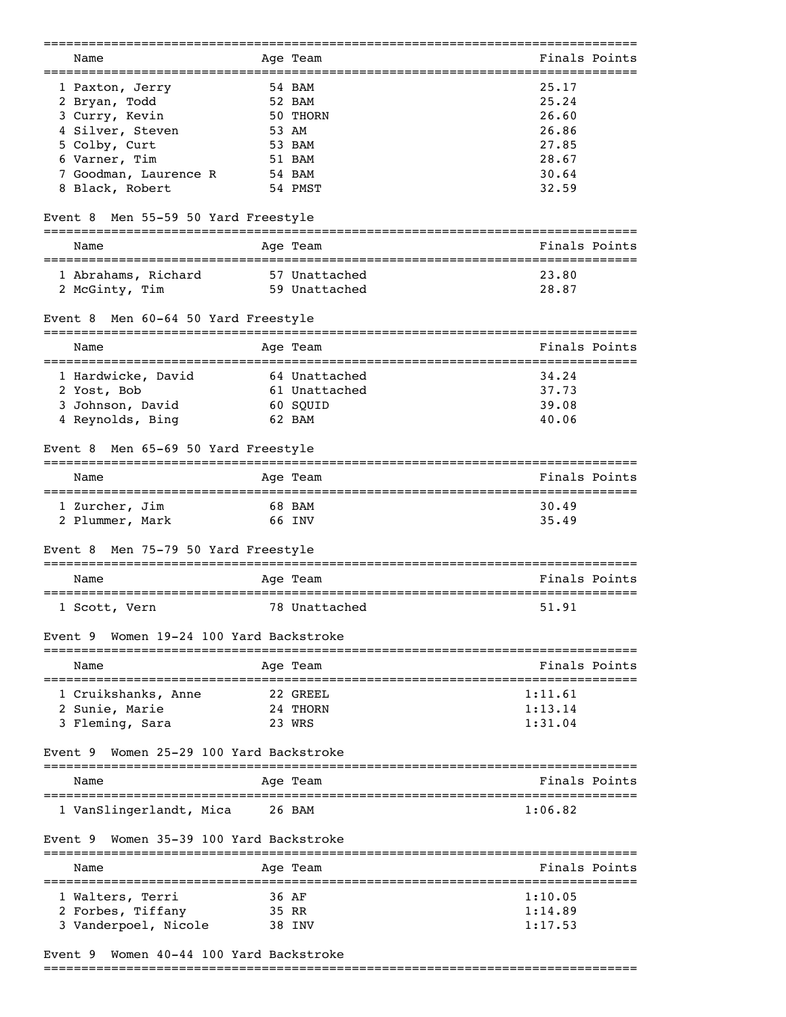| Name                                       | Age Team               | Finals Points                      |
|--------------------------------------------|------------------------|------------------------------------|
| 1 Paxton, Jerry                            | 54 BAM                 | 25.17                              |
| 2 Bryan, Todd                              | 52 BAM                 | 25.24                              |
| 3 Curry, Kevin                             | 50 THORN               | 26.60                              |
| 4 Silver, Steven                           | 53 AM                  | 26.86                              |
| 5 Colby, Curt                              | 53 BAM                 | 27.85                              |
|                                            |                        |                                    |
| 6 Varner, Tim                              | 51 BAM                 | 28.67                              |
| 7 Goodman, Laurence R                      | 54 BAM                 | 30.64                              |
| 8 Black, Robert                            | 54 PMST                | 32.59                              |
| Men 55-59 50 Yard Freestyle<br>Event 8     |                        |                                    |
| Name                                       | Age Team               | Finals Points                      |
| 1 Abrahams, Richard                        | 57 Unattached          | 23.80                              |
|                                            |                        |                                    |
| 2 McGinty, Tim                             | 59 Unattached          | 28.87                              |
| Men 60-64 50 Yard Freestyle<br>Event 8     |                        |                                    |
| Name                                       | Age Team<br>---------- | Finals Points<br>:================ |
| 1 Hardwicke, David                         | 64 Unattached          | 34.24                              |
| 2 Yost, Bob                                | 61 Unattached          | 37.73                              |
| 3 Johnson, David                           | 60 SQUID               | 39.08                              |
| 4 Reynolds, Bing                           | 62 BAM                 | 40.06                              |
|                                            |                        |                                    |
| Men 65-69 50 Yard Freestyle<br>Event 8     |                        |                                    |
| Name                                       | Age Team               | Finals Points                      |
| 1 Zurcher, Jim                             | 68 BAM                 | 30.49                              |
| 2 Plummer, Mark                            | 66 INV                 | 35.49                              |
|                                            |                        |                                    |
| Men 75-79 50 Yard Freestyle<br>Event 8     |                        |                                    |
| Name                                       | Age Team               | Finals Points<br>-------------     |
| 1 Scott, Vern                              | 78 Unattached          | 51.91                              |
| Women 19-24 100 Yard Backstroke<br>Event 9 |                        |                                    |
| Name                                       | Aqe Team               | Finals Points                      |
| 1 Cruikshanks, Anne                        | 22 GREEL               | 1:11.61                            |
| 2 Sunie, Marie                             | 24 THORN               | 1:13.14                            |
| 3 Fleming, Sara                            | 23 WRS                 | 1:31.04                            |
|                                            |                        |                                    |
| Women 25-29 100 Yard Backstroke<br>Event 9 |                        |                                    |
| Name                                       | Aqe Team               | Finals Points                      |
| 1 VanSlingerlandt, Mica                    | 26 BAM                 | 1:06.82                            |
| Women 35-39 100 Yard Backstroke<br>Event 9 |                        |                                    |
| Name                                       | ==========<br>Age Team | Finals Points                      |
| 1 Walters, Terri                           | 36 AF                  | 1:10.05                            |
| 2 Forbes, Tiffany                          | 35 RR                  | 1:14.89                            |
| 3 Vanderpoel, Nicole                       | 38 INV                 | 1:17.53                            |
|                                            |                        |                                    |
|                                            |                        |                                    |

# Event 9 Women 40-44 100 Yard Backstroke

===============================================================================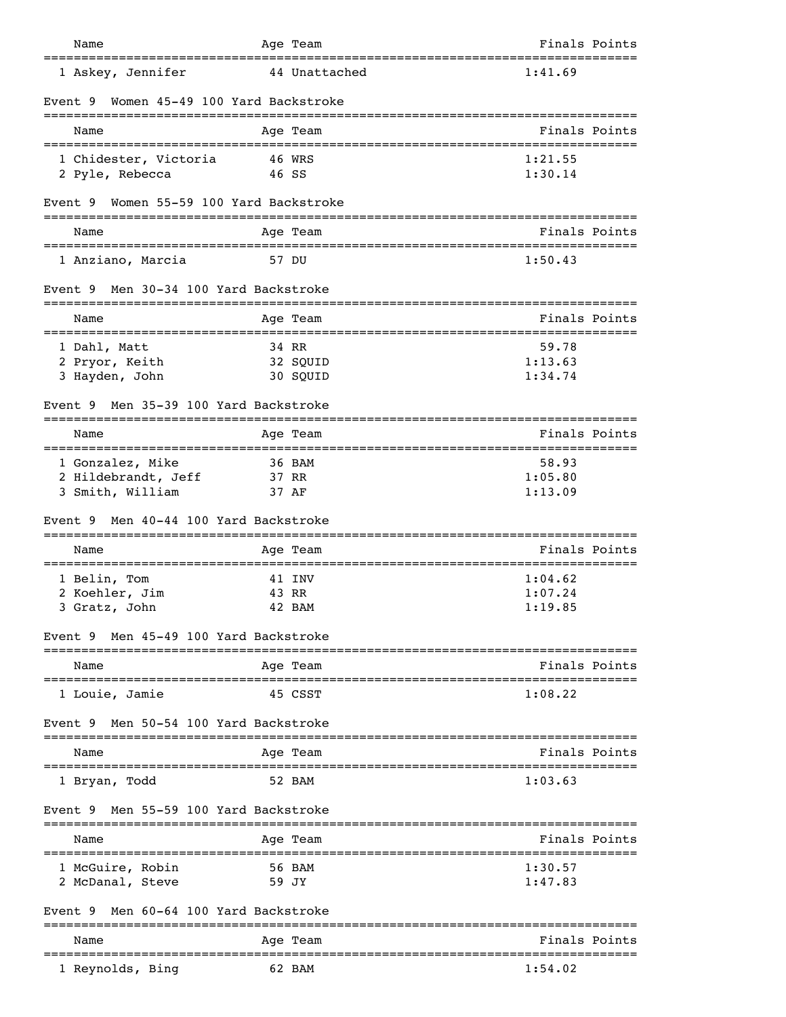| Name                                                     | Age Team                    | Finals Points                             |
|----------------------------------------------------------|-----------------------------|-------------------------------------------|
| ===================================<br>1 Askey, Jennifer | 44 Unattached               | ========================<br>1:41.69       |
| Women 45-49 100 Yard Backstroke<br>Event 9               |                             |                                           |
| Name                                                     | Age Team                    | Finals Points                             |
| 1 Chidester, Victoria                                    | 46 WRS                      | 1:21.55                                   |
| 2 Pyle, Rebecca                                          | 46 SS                       | 1:30.14                                   |
| Women 55-59 100 Yard Backstroke<br>Event 9               |                             |                                           |
| Name                                                     | Age Team                    | Finals Points                             |
| 1 Anziano, Marcia                                        | 57 DU                       | 1:50.43                                   |
| Men 30-34 100 Yard Backstroke<br>Event 9                 |                             |                                           |
| Name<br>====================                             | Age Team                    | Finals Points<br>------------------------ |
| 1 Dahl, Matt                                             | 34 RR                       | 59.78                                     |
| 2 Pryor, Keith<br>3 Hayden, John                         | 32 SQUID<br>30 SQUID        | 1:13.63<br>1:34.74                        |
| Men 35-39 100 Yard Backstroke<br>Event 9                 |                             |                                           |
|                                                          |                             |                                           |
| Name                                                     | Age Team                    | Finals Points                             |
| 1 Gonzalez, Mike<br>2 Hildebrandt, Jeff                  | 36 BAM<br>37 RR             | 58.93<br>1:05.80                          |
| 3 Smith, William                                         | 37 AF                       | 1:13.09                                   |
| Men 40-44 100 Yard Backstroke<br>Event 9                 |                             |                                           |
| Name                                                     | Age Team                    | Finals Points                             |
| 1 Belin, Tom                                             | 41 INV                      | 1:04.62                                   |
| 2 Koehler, Jim                                           | 43 RR                       | 1:07.24                                   |
| 3 Gratz, John                                            | 42 BAM                      | 1:19.85                                   |
| Men 45-49 100 Yard Backstroke<br>Event 9                 | :=============              |                                           |
| Name                                                     | Age Team                    | Finals Points                             |
| 1 Louie, Jamie                                           | 45 CSST                     | 1:08.22                                   |
| Men 50-54 100 Yard Backstroke<br>Event 9                 | ___________________________ |                                           |
| Name                                                     | Age Team                    | Finals Points                             |
| 1 Bryan, Todd                                            | 52 BAM                      | 1:03.63                                   |
| Men 55-59 100 Yard Backstroke<br>Event 9                 |                             |                                           |
| Name                                                     | Age Team                    | Finals Points                             |
| 1 McGuire, Robin                                         | 56 BAM                      | 1:30.57                                   |
| 2 McDanal, Steve                                         | 59 JY                       | 1:47.83                                   |
| Men 60-64 100 Yard Backstroke<br>Event 9                 | ==========================  |                                           |
| Name                                                     | Age Team                    | Finals Points                             |
| 1 Reynolds, Bing                                         | 62 BAM                      | 1:54.02                                   |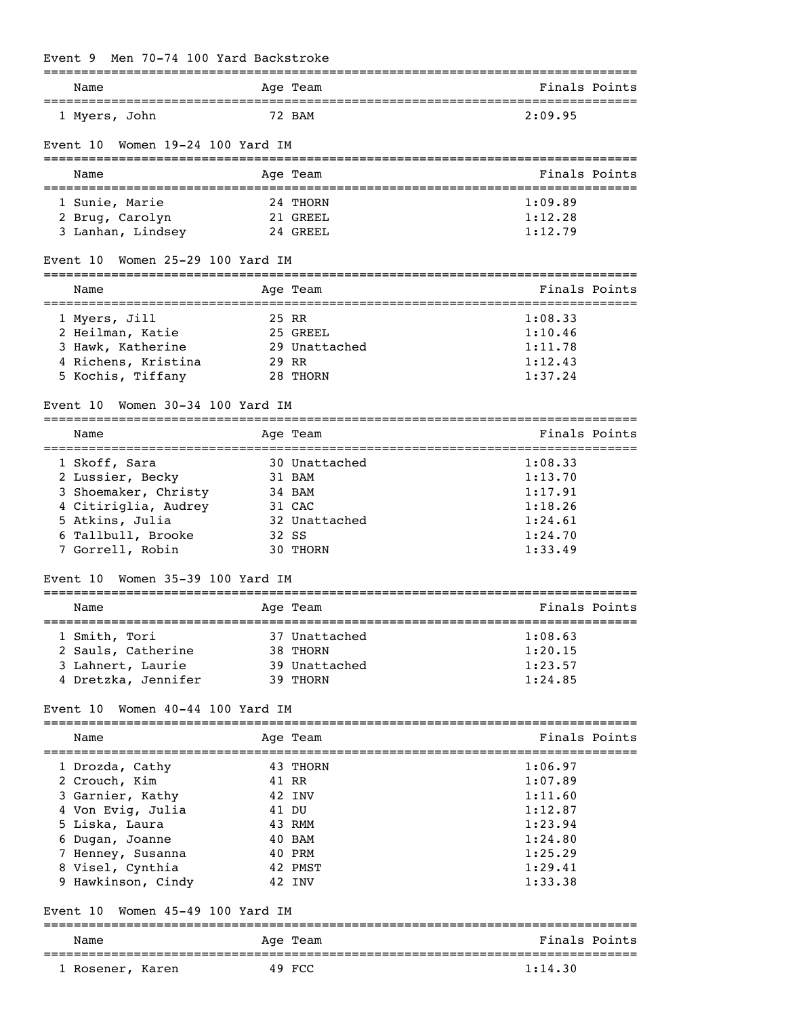# Event 9 Men 70-74 100 Yard Backstroke

| Name                                                    | =========<br>Age Team       | ===============================<br>Finals Points |
|---------------------------------------------------------|-----------------------------|--------------------------------------------------|
| ======================================<br>1 Myers, John | 72 BAM                      | 2:09.95                                          |
| Women 19-24 100 Yard IM<br>Event 10                     |                             |                                                  |
| Name                                                    | Age Team                    | Finals Points                                    |
| 1 Sunie, Marie                                          | 24 THORN                    | 1:09.89                                          |
| 2 Brug, Carolyn                                         | 21 GREEL                    | 1:12.28                                          |
| 3 Lanhan, Lindsey                                       | 24 GREEL                    | 1:12.79                                          |
| Women 25-29 100 Yard IM<br>Event 10                     |                             |                                                  |
| Name<br>=====================================           | Age Team                    | Finals Points                                    |
| 1 Myers, Jill                                           | 25 RR                       | 1:08.33                                          |
| 2 Heilman, Katie                                        | 25 GREEL                    | 1:10.46                                          |
| 3 Hawk, Katherine                                       | 29 Unattached               | 1:11.78                                          |
| 4 Richens, Kristina                                     | 29 RR                       | 1:12.43                                          |
| 5 Kochis, Tiffany                                       | 28 THORN                    | 1:37.24                                          |
| Women 30-34 100 Yard IM<br>Event 10                     |                             |                                                  |
| Name                                                    | Age Team                    | Finals Points                                    |
| 1 Skoff, Sara                                           | 30 Unattached               | 1:08.33                                          |
| 2 Lussier, Becky                                        | 31 BAM                      | 1:13.70                                          |
| 3 Shoemaker, Christy                                    | 34 BAM                      | 1:17.91                                          |
| 4 Citiriglia, Audrey                                    | 31 CAC                      | 1:18.26                                          |
| 5 Atkins, Julia                                         | 32 Unattached               | 1:24.61                                          |
| 6 Tallbull, Brooke                                      | 32 SS                       | 1:24.70                                          |
| 7 Gorrell, Robin                                        | 30 THORN                    | 1:33.49                                          |
| Women 35-39 100 Yard IM<br>Event 10                     |                             |                                                  |
| Name                                                    | ===============<br>Age Team | Finals Points                                    |
| 1 Smith, Tori                                           | 37 Unattached               | 1:08.63                                          |
| 2 Sauls, Catherine                                      | 38 THORN                    | 1:20.15                                          |
| 3 Lahnert, Laurie                                       | 39 Unattached               | 1:23.57                                          |
| 4 Dretzka, Jennifer                                     | 39 THORN                    | 1:24.85                                          |
| Women 40-44 100 Yard IM<br>Event 10                     |                             |                                                  |
| Name                                                    | Age Team                    | Finals Points                                    |
| 1 Drozda, Cathy                                         | 43 THORN                    | 1:06.97                                          |
| 2 Crouch, Kim                                           | 41 RR                       | 1:07.89                                          |
| 3 Garnier, Kathy                                        | 42 INV                      | 1:11.60                                          |
| 4 Von Evig, Julia                                       | 41 DU                       | 1:12.87                                          |
| 5 Liska, Laura                                          | 43 RMM                      | 1:23.94                                          |
| 6 Dugan, Joanne                                         | 40 BAM                      | 1:24.80                                          |
| 7 Henney, Susanna                                       | 40 PRM                      | 1:25.29                                          |
| 8 Visel, Cynthia                                        | 42 PMST                     | 1:29.41                                          |
| 9 Hawkinson, Cindy                                      | 42 INV                      | 1:33.38                                          |
| Women 45-49 100 Yard IM<br>Event 10                     |                             |                                                  |
| Name                                                    | Age Team                    | Finals Points                                    |
| 1 Rosener, Karen                                        | 49 FCC                      | =================<br>1:14.30                     |
|                                                         |                             |                                                  |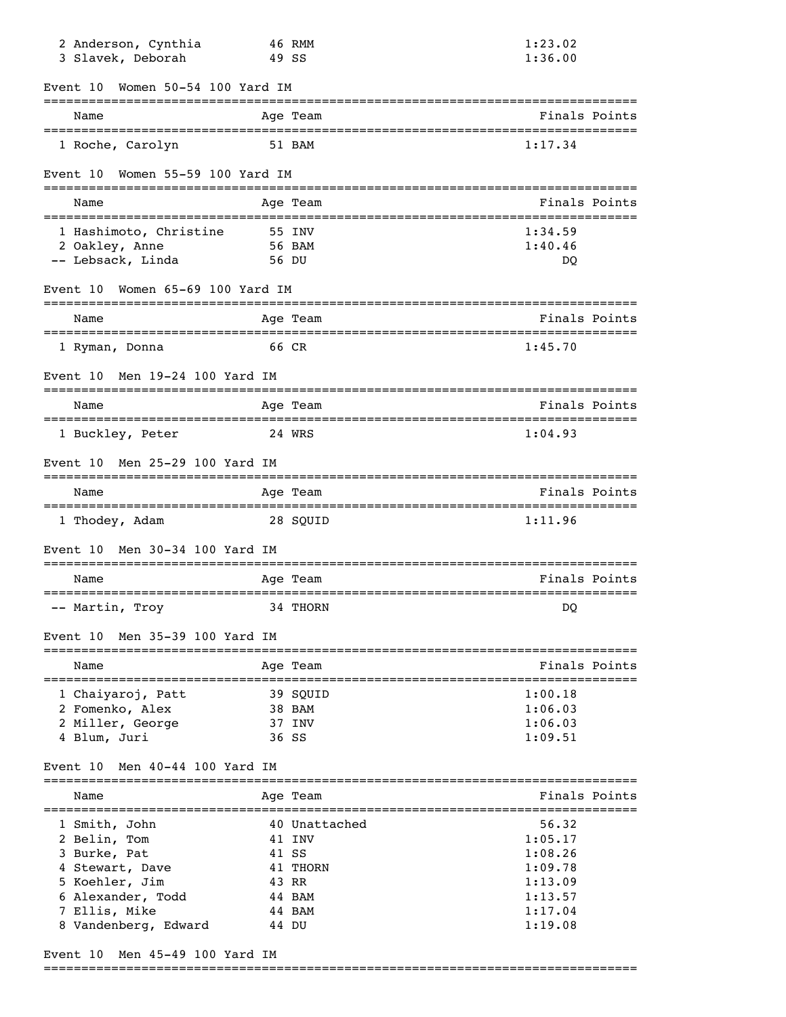| 2 Anderson, Cynthia<br>3 Slavek, Deborah                                                                                                   | 46 RMM<br>49 SS                                       | 1:23.02<br>1:36.00                                |
|--------------------------------------------------------------------------------------------------------------------------------------------|-------------------------------------------------------|---------------------------------------------------|
| Women 50-54 100 Yard IM<br>Event 10                                                                                                        |                                                       |                                                   |
| Name                                                                                                                                       | Age Team                                              | Finals Points                                     |
| 1 Roche, Carolyn                                                                                                                           | 51 BAM                                                | 1:17.34                                           |
| Women 55-59 100 Yard IM<br>Event 10                                                                                                        |                                                       |                                                   |
| Name                                                                                                                                       | Age Team                                              | Finals Points                                     |
| 1 Hashimoto, Christine<br>2 Oakley, Anne<br>-- Lebsack, Linda                                                                              | 55 INV<br>56 BAM<br>56 DU                             | 1:34.59<br>1:40.46<br>DO                          |
| Women 65-69 100 Yard IM<br>Event 10                                                                                                        |                                                       |                                                   |
| Name                                                                                                                                       | Age Team                                              | Finals Points                                     |
| 1 Ryman, Donna                                                                                                                             | 66 CR                                                 | 1:45.70                                           |
| Men 19-24 100 Yard IM<br>Event 10                                                                                                          |                                                       |                                                   |
| Name                                                                                                                                       | Age Team                                              | Finals Points                                     |
| 1 Buckley, Peter                                                                                                                           | 24 WRS                                                | 1:04.93                                           |
| Men 25-29 100 Yard IM<br>Event 10                                                                                                          |                                                       |                                                   |
| Name                                                                                                                                       | Age Team                                              | Finals Points                                     |
| 1 Thodey, Adam                                                                                                                             | 28 SOUID                                              | 1:11.96                                           |
| Men 30-34 100 Yard IM<br>Event 10                                                                                                          |                                                       |                                                   |
| Name                                                                                                                                       | =============<br>Age Team                             | =============================<br>Finals Points    |
| -- Martin, Troy                                                                                                                            | ===========<br>34 THORN                               | DO                                                |
| Men 35-39 100 Yard IM<br>Event 10                                                                                                          |                                                       |                                                   |
| Name                                                                                                                                       | Age Team                                              | Finals Points                                     |
| _________________________<br>1 Chaiyaroj, Patt<br>2 Fomenko, Alex<br>2 Miller, George<br>4 Blum, Juri<br>Men 40-44 100 Yard IM<br>Event 10 | 39 SQUID<br>38 BAM<br>37 INV<br>36 SS                 | 1:00.18<br>1:06.03<br>1:06.03<br>1:09.51          |
|                                                                                                                                            |                                                       | Finals Points                                     |
| Name                                                                                                                                       | Age Team                                              |                                                   |
| 1 Smith, John<br>2 Belin, Tom<br>3 Burke, Pat<br>4 Stewart, Dave<br>5 Koehler, Jim                                                         | 40 Unattached<br>41 INV<br>41 SS<br>41 THORN<br>43 RR | 56.32<br>1:05.17<br>1:08.26<br>1:09.78<br>1:13.09 |
| 6 Alexander, Todd<br>7 Ellis, Mike<br>8 Vandenberg, Edward                                                                                 | 44 BAM<br>44 BAM<br>44 DU                             | 1:13.57<br>1:17.04<br>1:19.08                     |

Event 10 Men 45-49 100 Yard IM

===============================================================================